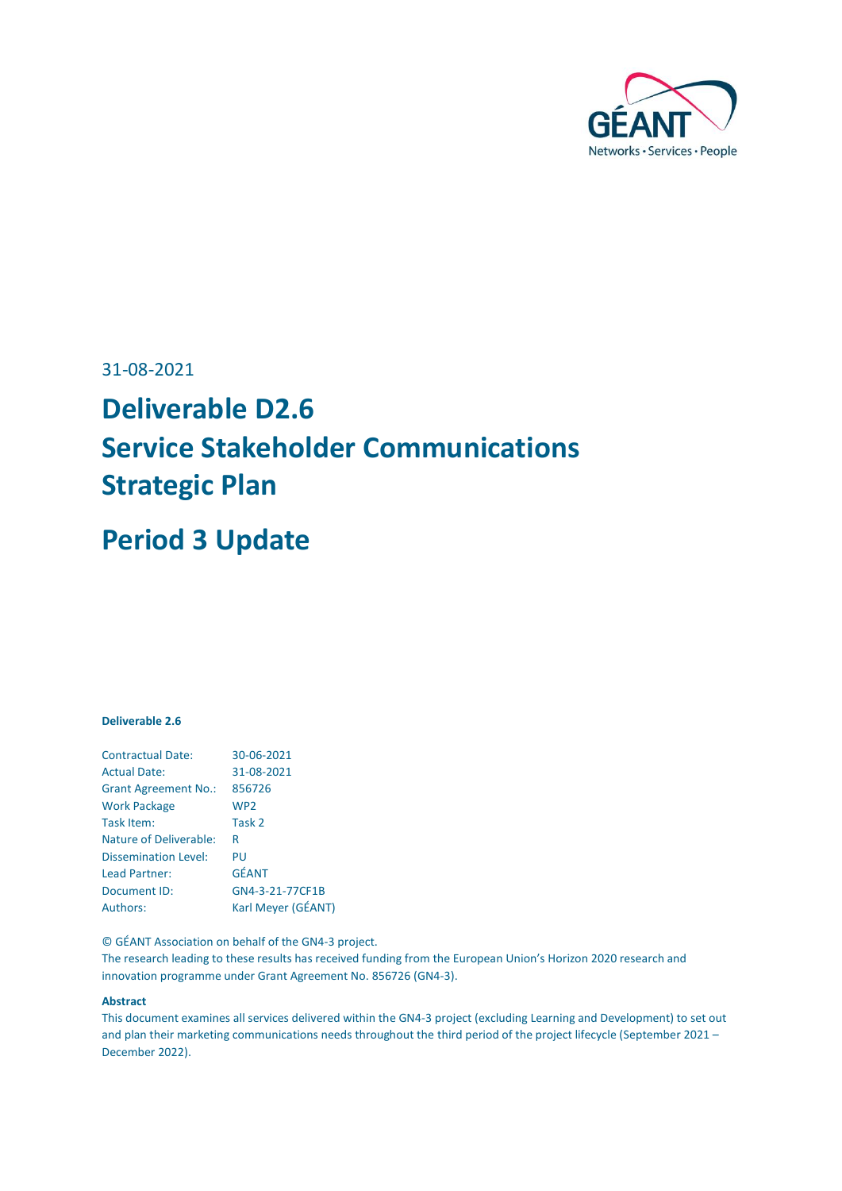

## 31-08-2021

# **Deliverable D2.6 Service Stakeholder Communications Strategic Plan**

# **Period 3 Update**

## **Deliverable 2.6**

| <b>Contractual Date:</b>      | 30-06-2021         |
|-------------------------------|--------------------|
| <b>Actual Date:</b>           | 31-08-2021         |
| <b>Grant Agreement No.:</b>   | 856726             |
| <b>Work Package</b>           | WP <sub>2</sub>    |
| Task Item:                    | Task 2             |
| <b>Nature of Deliverable:</b> | R                  |
| <b>Dissemination Level:</b>   | PU                 |
| Lead Partner:                 | <b>GÉANT</b>       |
| Document ID:                  | GN4-3-21-77CF1B    |
| Authors:                      | Karl Meyer (GÉANT) |

© GÉANT Association on behalf of the GN4-3 project.

The research leading to these results has received funding from the European Union's Horizon 2020 research and innovation programme under Grant Agreement No. 856726 (GN4-3).

#### **Abstract**

This document examines all services delivered within the GN4-3 project (excluding Learning and Development) to set out and plan their marketing communications needs throughout the third period of the project lifecycle (September 2021 – December 2022).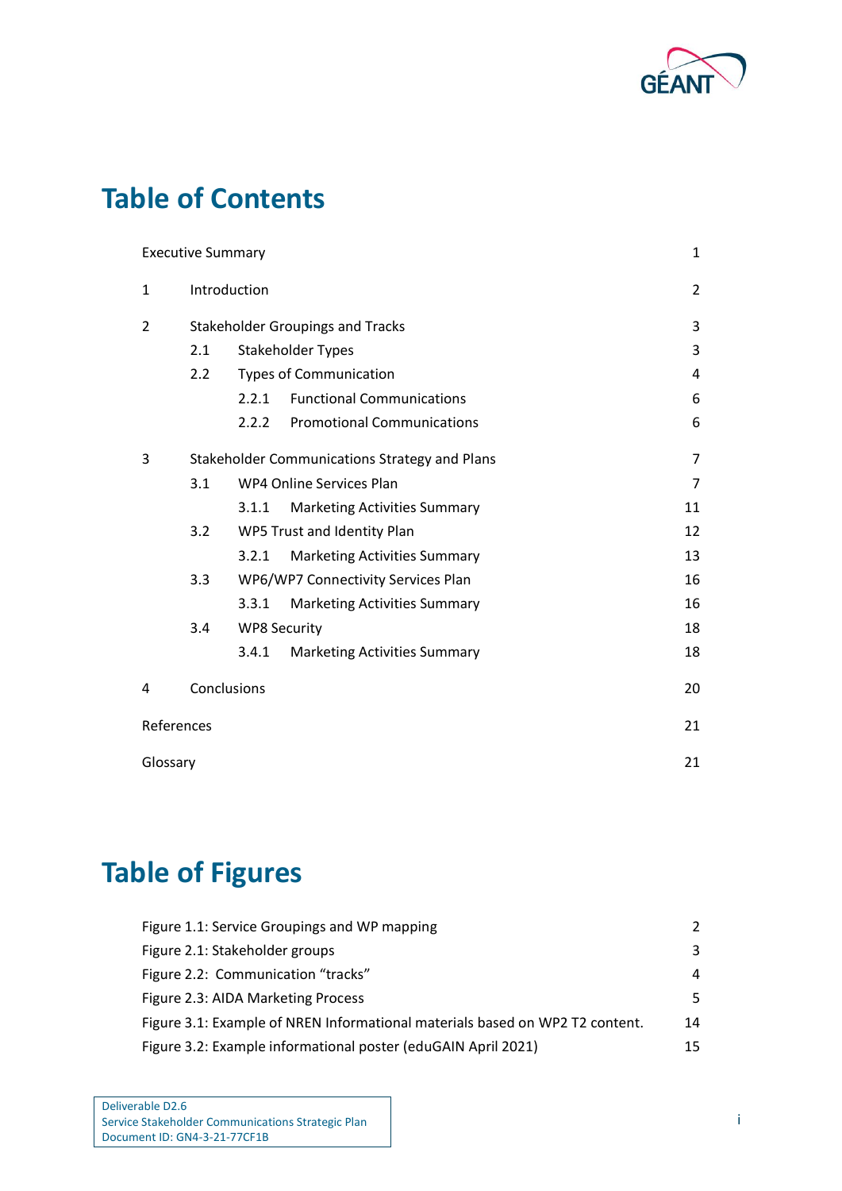

# **Table of Contents**

|            | <b>Executive Summary</b>                          |                     |                                               | $\mathbf{1}$   |  |
|------------|---------------------------------------------------|---------------------|-----------------------------------------------|----------------|--|
| 1          | Introduction                                      |                     |                                               | $\overline{2}$ |  |
| 2          |                                                   |                     | <b>Stakeholder Groupings and Tracks</b>       | 3              |  |
|            | 2.1                                               |                     | Stakeholder Types                             | 3              |  |
|            | 2.2                                               |                     | <b>Types of Communication</b>                 | 4              |  |
|            |                                                   | 2.2.1               | <b>Functional Communications</b>              | 6              |  |
|            |                                                   | 2.2.2               | <b>Promotional Communications</b>             | 6              |  |
| 3          |                                                   |                     | Stakeholder Communications Strategy and Plans | 7              |  |
|            | WP4 Online Services Plan<br>$\overline{7}$<br>3.1 |                     |                                               |                |  |
|            |                                                   | 3.1.1               | <b>Marketing Activities Summary</b>           | 11             |  |
|            | 3.2<br>WP5 Trust and Identity Plan<br>12          |                     |                                               |                |  |
|            |                                                   | 3.2.1               | <b>Marketing Activities Summary</b>           | 13             |  |
|            | 3.3<br>WP6/WP7 Connectivity Services Plan<br>16   |                     |                                               |                |  |
|            |                                                   | 3.3.1               | <b>Marketing Activities Summary</b>           | 16             |  |
|            | 3.4                                               | <b>WP8 Security</b> |                                               | 18             |  |
|            |                                                   | 3.4.1               | <b>Marketing Activities Summary</b>           | 18             |  |
| 4          | Conclusions                                       |                     |                                               | 20             |  |
| References |                                                   |                     |                                               | 21             |  |
| Glossary   |                                                   |                     |                                               | 21             |  |

# **Table of Figures**

| Figure 1.1: Service Groupings and WP mapping                                 | $\mathcal{L}$ |
|------------------------------------------------------------------------------|---------------|
| Figure 2.1: Stakeholder groups                                               | 3             |
| Figure 2.2: Communication "tracks"                                           | 4             |
| Figure 2.3: AIDA Marketing Process                                           | .5.           |
| Figure 3.1: Example of NREN Informational materials based on WP2 T2 content. | 14            |
| Figure 3.2: Example informational poster (eduGAIN April 2021)                | 15            |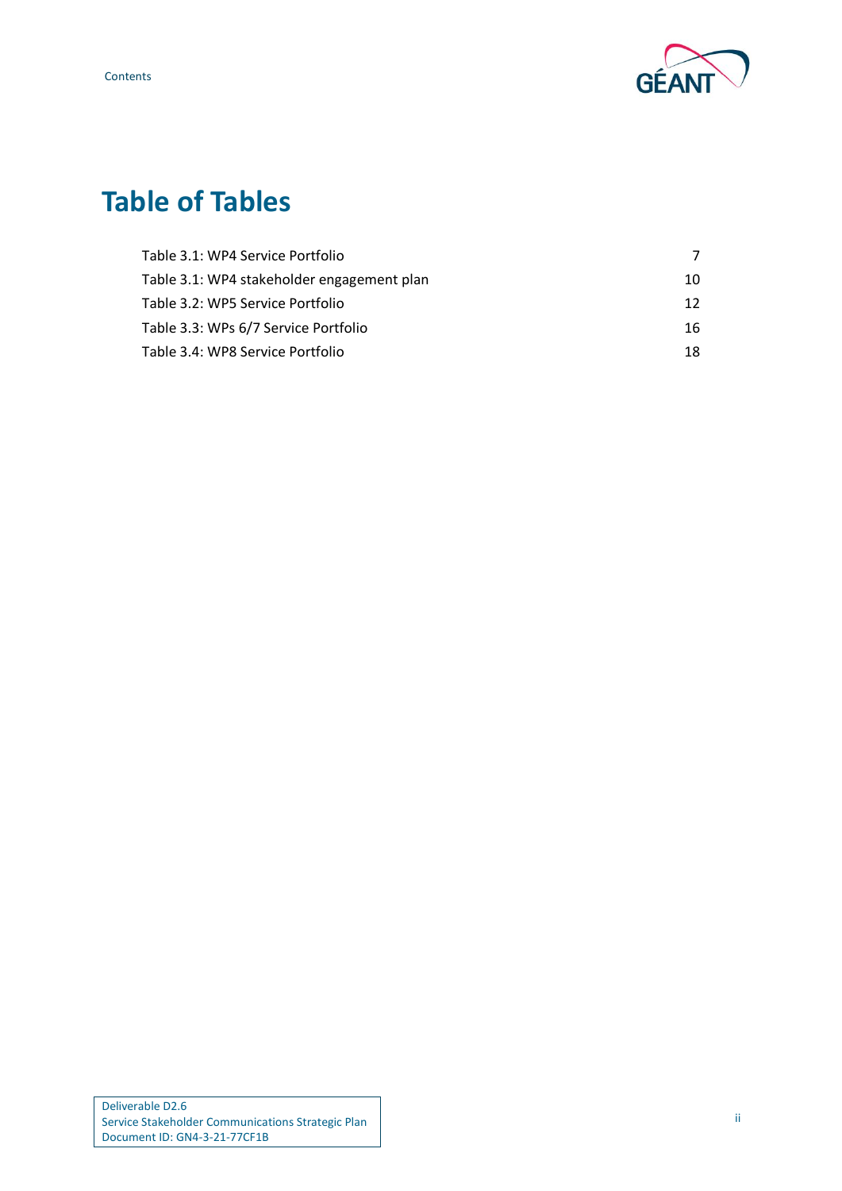Contents



# **Table of Tables**

| Table 3.1: WP4 Service Portfolio           |    |
|--------------------------------------------|----|
| Table 3.1: WP4 stakeholder engagement plan | 10 |
| Table 3.2: WP5 Service Portfolio           | 12 |
| Table 3.3: WPs 6/7 Service Portfolio       | 16 |
| Table 3.4: WP8 Service Portfolio           | 18 |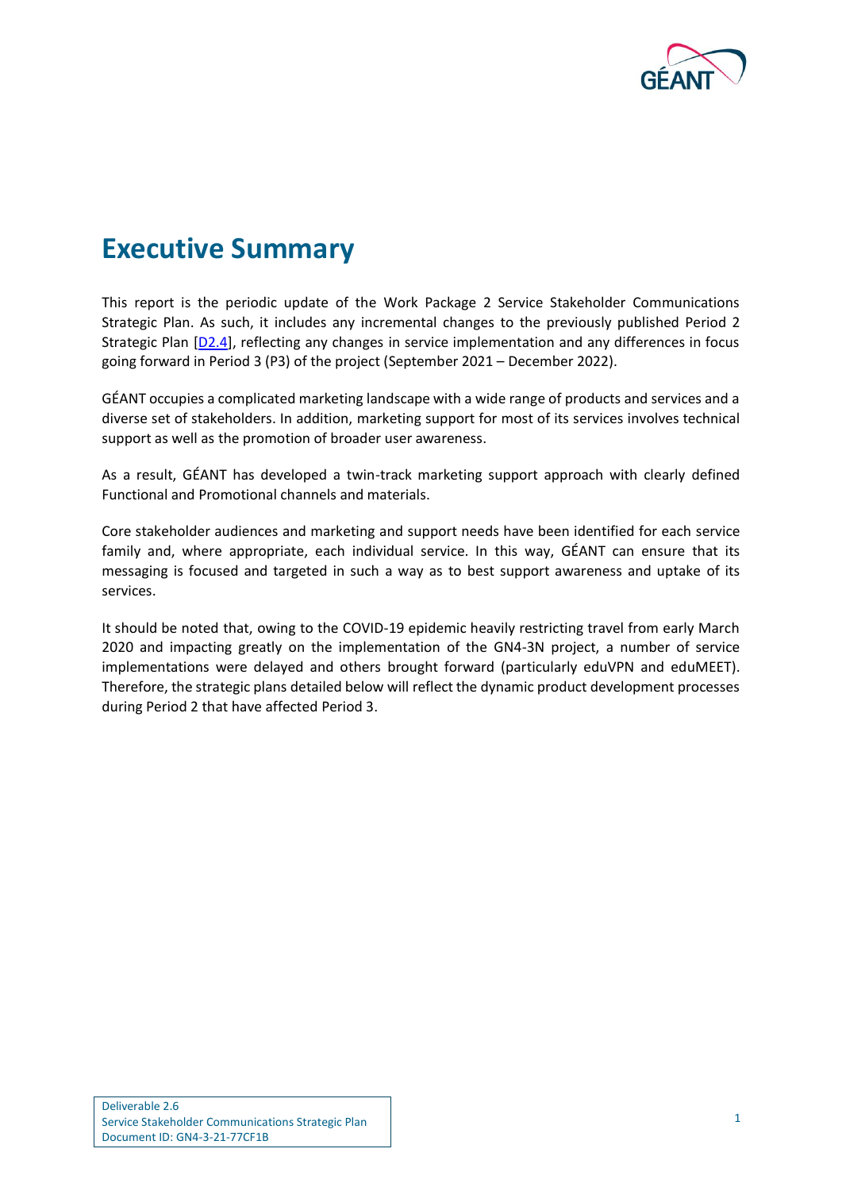

# <span id="page-3-0"></span>**Executive Summary**

This report is the periodic update of the Work Package 2 Service Stakeholder Communications Strategic Plan. As such, it includes any incremental changes to the previously published Period 2 Strategic Plan [\[D2.4](#page-23-2)], reflecting any changes in service implementation and any differences in focus going forward in Period 3 (P3) of the project (September 2021 – December 2022).

GÉANT occupies a complicated marketing landscape with a wide range of products and services and a diverse set of stakeholders. In addition, marketing support for most of its services involves technical support as well as the promotion of broader user awareness.

As a result, GÉANT has developed a twin-track marketing support approach with clearly defined Functional and Promotional channels and materials.

Core stakeholder audiences and marketing and support needs have been identified for each service family and, where appropriate, each individual service. In this way, GÉANT can ensure that its messaging is focused and targeted in such a way as to best support awareness and uptake of its services.

It should be noted that, owing to the COVID-19 epidemic heavily restricting travel from early March 2020 and impacting greatly on the implementation of the GN4-3N project, a number of service implementations were delayed and others brought forward (particularly eduVPN and eduMEET). Therefore, the strategic plans detailed below will reflect the dynamic product development processes during Period 2 that have affected Period 3.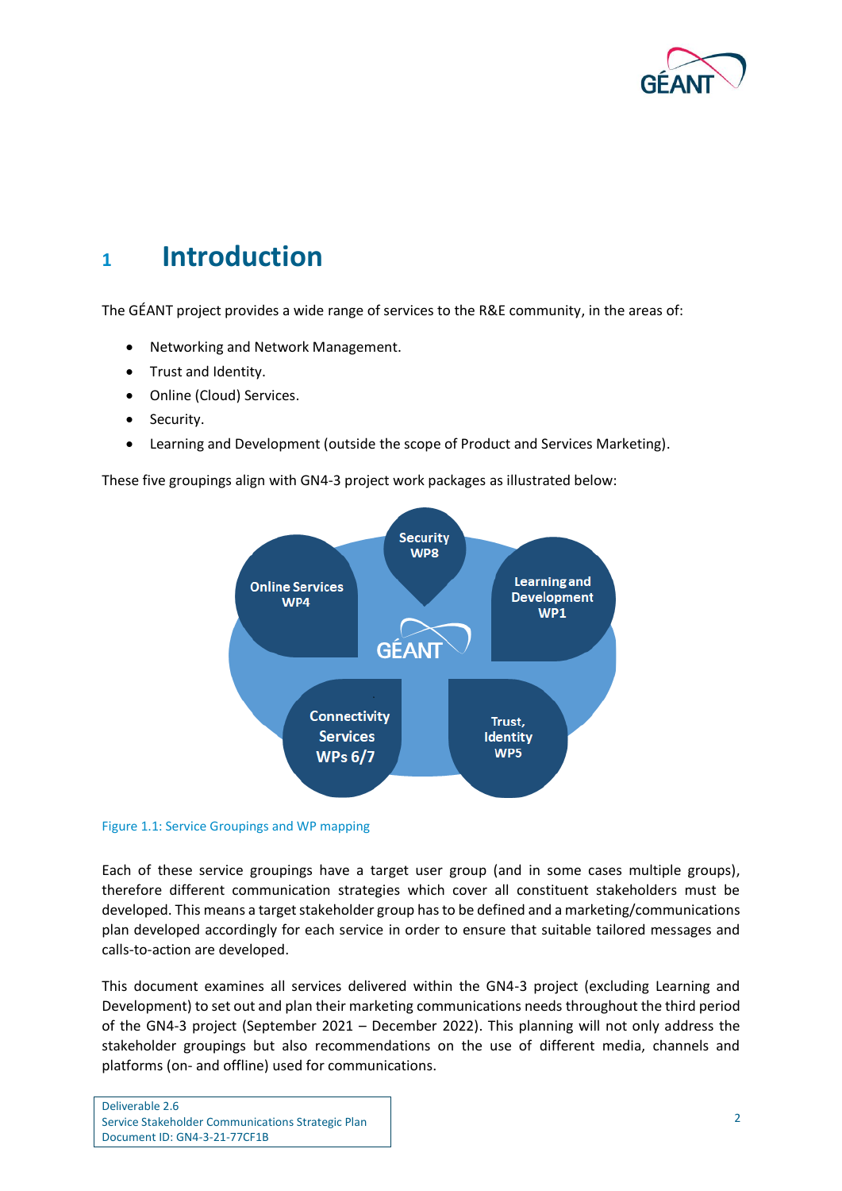

# <span id="page-4-0"></span>**<sup>1</sup> Introduction**

The GÉANT project provides a wide range of services to the R&E community, in the areas of:

- Networking and Network Management.
- Trust and Identity.
- Online (Cloud) Services.
- Security.
- Learning and Development (outside the scope of Product and Services Marketing).

These five groupings align with GN4-3 project work packages as illustrated below:



#### <span id="page-4-1"></span>Figure 1.1: Service Groupings and WP mapping

Each of these service groupings have a target user group (and in some cases multiple groups), therefore different communication strategies which cover all constituent stakeholders must be developed. This means a target stakeholder group hasto be defined and a marketing/communications plan developed accordingly for each service in order to ensure that suitable tailored messages and calls-to-action are developed.

This document examines all services delivered within the GN4-3 project (excluding Learning and Development) to set out and plan their marketing communications needs throughout the third period of the GN4-3 project (September 2021 – December 2022). This planning will not only address the stakeholder groupings but also recommendations on the use of different media, channels and platforms (on- and offline) used for communications.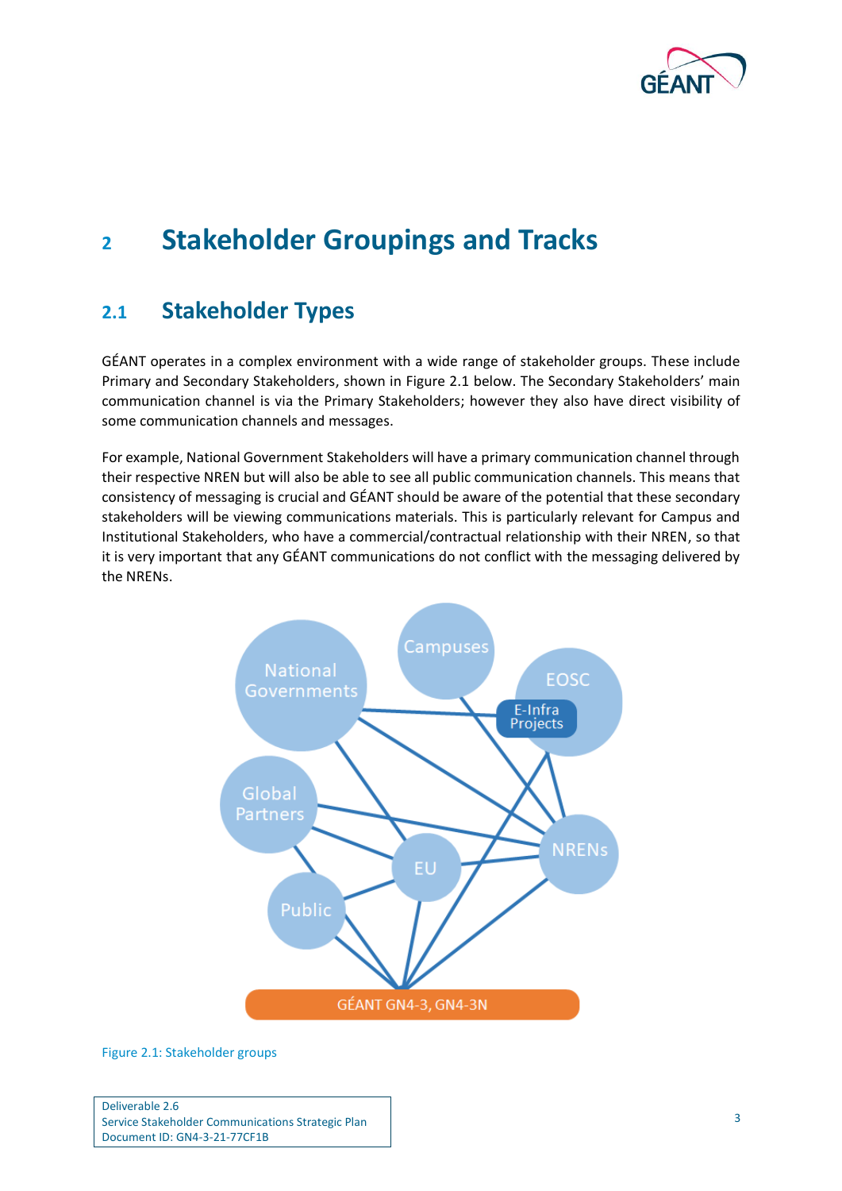

# <span id="page-5-0"></span>**<sup>2</sup> Stakeholder Groupings and Tracks**

## <span id="page-5-1"></span>**2.1 Stakeholder Types**

GÉANT operates in a complex environment with a wide range of stakeholder groups. These include Primary and Secondary Stakeholders, shown in [Figure 2.1](#page-5-2) below. The Secondary Stakeholders' main communication channel is via the Primary Stakeholders; however they also have direct visibility of some communication channels and messages.

For example, National Government Stakeholders will have a primary communication channel through their respective NREN but will also be able to see all public communication channels. This means that consistency of messaging is crucial and GÉANT should be aware of the potential that these secondary stakeholders will be viewing communications materials. This is particularly relevant for Campus and Institutional Stakeholders, who have a commercial/contractual relationship with their NREN, so that it is very important that any GÉANT communications do not conflict with the messaging delivered by the NRENs.



<span id="page-5-2"></span>Figure 2.1: Stakeholder groups

Deliverable 2.6 Service Stakeholder Communications Strategic Plan Document ID: GN4-3-21-77CF1B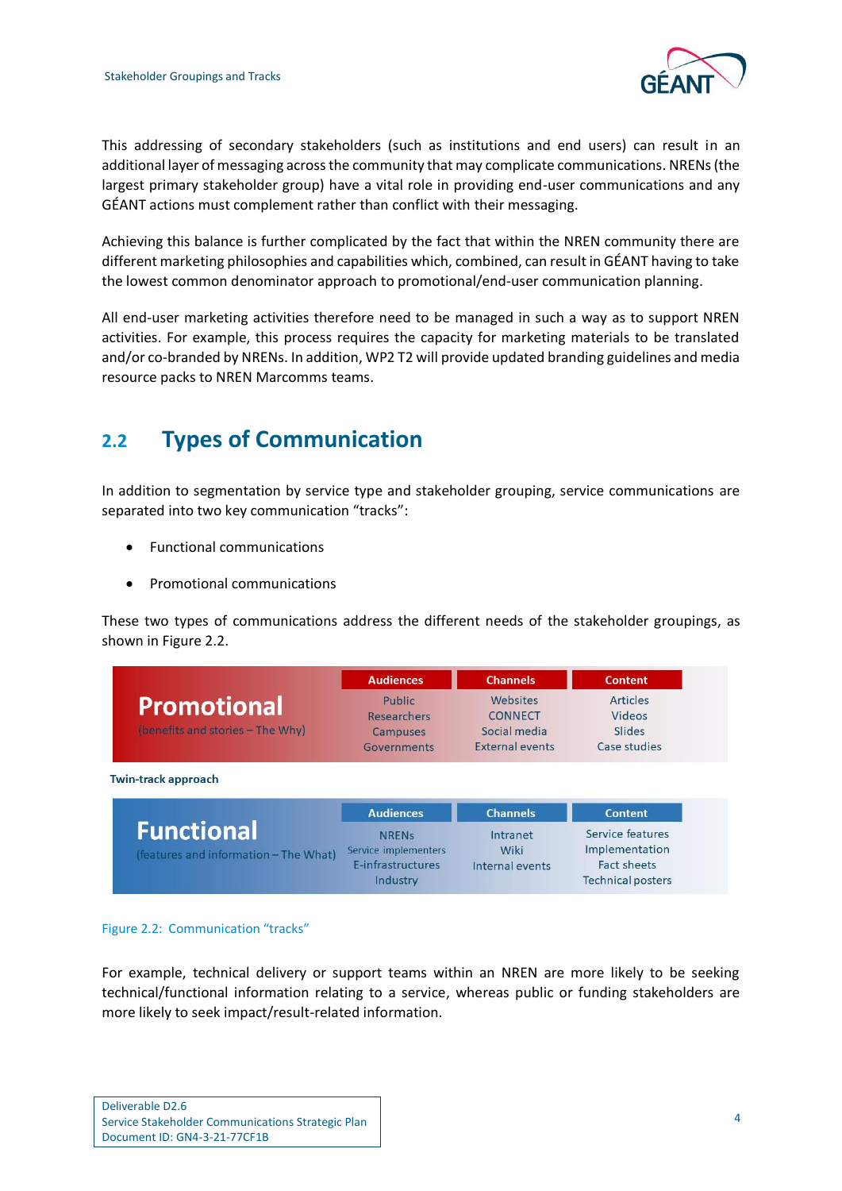

This addressing of secondary stakeholders (such as institutions and end users) can result in an additional layer of messaging across the community that may complicate communications. NRENs (the largest primary stakeholder group) have a vital role in providing end-user communications and any GÉANT actions must complement rather than conflict with their messaging.

Achieving this balance is further complicated by the fact that within the NREN community there are different marketing philosophies and capabilities which, combined, can result in GÉANT having to take the lowest common denominator approach to promotional/end-user communication planning.

All end-user marketing activities therefore need to be managed in such a way as to support NREN activities. For example, this process requires the capacity for marketing materials to be translated and/or co-branded by NRENs. In addition, WP2 T2 will provide updated branding guidelines and media resource packs to NREN Marcomms teams.

## <span id="page-6-0"></span>**2.2 Types of Communication**

In addition to segmentation by service type and stakeholder grouping, service communications are separated into two key communication "tracks":

- Functional communications
- Promotional communications

These two types of communications address the different needs of the stakeholder groupings, as shown in [Figure 2.2.](#page-6-1)

|                                  | <b>Audiences</b>   | <b>Channels</b> | <b>Content</b> |
|----------------------------------|--------------------|-----------------|----------------|
| <b>Promotional</b>               | Public             | Websites        | Articles       |
|                                  | <b>Researchers</b> | <b>CONNECT</b>  | Videos         |
| (benefits and stories - The Why) | Campuses           | Social media    | Slides         |
|                                  | <b>Governments</b> | External events | Case studies   |

**Twin-track approach** 

|                                                            | <b>Audiences</b>                                                      | <b>Channels</b>                     | <b>Content</b>                                                                |
|------------------------------------------------------------|-----------------------------------------------------------------------|-------------------------------------|-------------------------------------------------------------------------------|
| <b>Functional</b><br>(features and information - The What) | <b>NRENs</b><br>Service implementers<br>E-infrastructures<br>Industry | Intranet<br>Wiki<br>Internal events | Service features<br>Implementation<br>Fact sheets<br><b>Technical posters</b> |

### <span id="page-6-1"></span>Figure 2.2: Communication "tracks"

For example, technical delivery or support teams within an NREN are more likely to be seeking technical/functional information relating to a service, whereas public or funding stakeholders are more likely to seek impact/result-related information.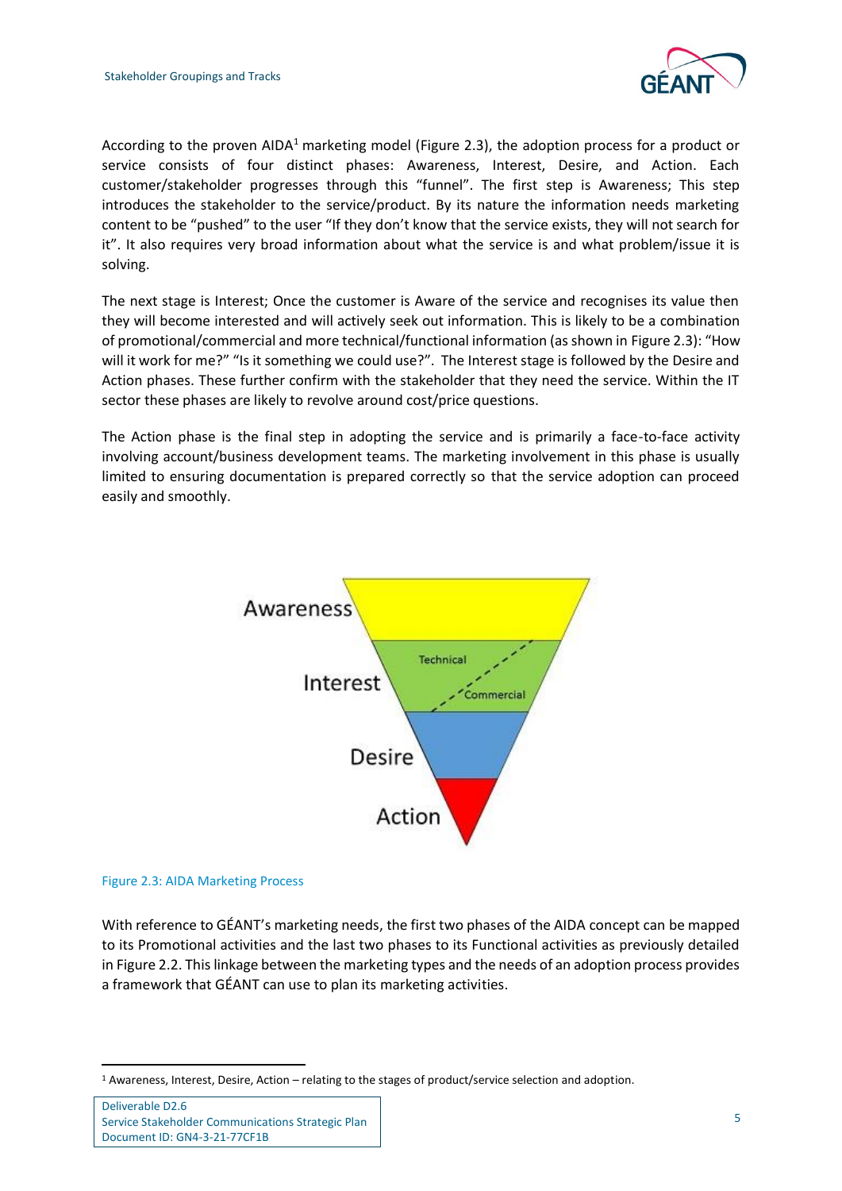

According to the proven AIDA<sup>1</sup> marketing model [\(Figure 2.3\)](#page-7-0), the adoption process for a product or service consists of four distinct phases: Awareness, Interest, Desire, and Action. Each customer/stakeholder progresses through this "funnel". The first step is Awareness; This step introduces the stakeholder to the service/product. By its nature the information needs marketing content to be "pushed" to the user "If they don't know that the service exists, they will not search for it". It also requires very broad information about what the service is and what problem/issue it is solving.

The next stage is Interest; Once the customer is Aware of the service and recognises its value then they will become interested and will actively seek out information. This is likely to be a combination of promotional/commercial and more technical/functional information (as shown in [Figure 2.3\)](#page-7-0): "How will it work for me?" "Is it something we could use?". The Interest stage is followed by the Desire and Action phases. These further confirm with the stakeholder that they need the service. Within the IT sector these phases are likely to revolve around cost/price questions.

The Action phase is the final step in adopting the service and is primarily a face-to-face activity involving account/business development teams. The marketing involvement in this phase is usually limited to ensuring documentation is prepared correctly so that the service adoption can proceed easily and smoothly.



#### <span id="page-7-0"></span>Figure 2.3: AIDA Marketing Process

With reference to GÉANT's marketing needs, the first two phases of the AIDA concept can be mapped to its Promotional activities and the last two phases to its Functional activities as previously detailed in Figure 2.2. This linkage between the marketing types and the needs of an adoption process provides a framework that GÉANT can use to plan its marketing activities.

<sup>1</sup> Awareness, Interest, Desire, Action – relating to the stages of product/service selection and adoption.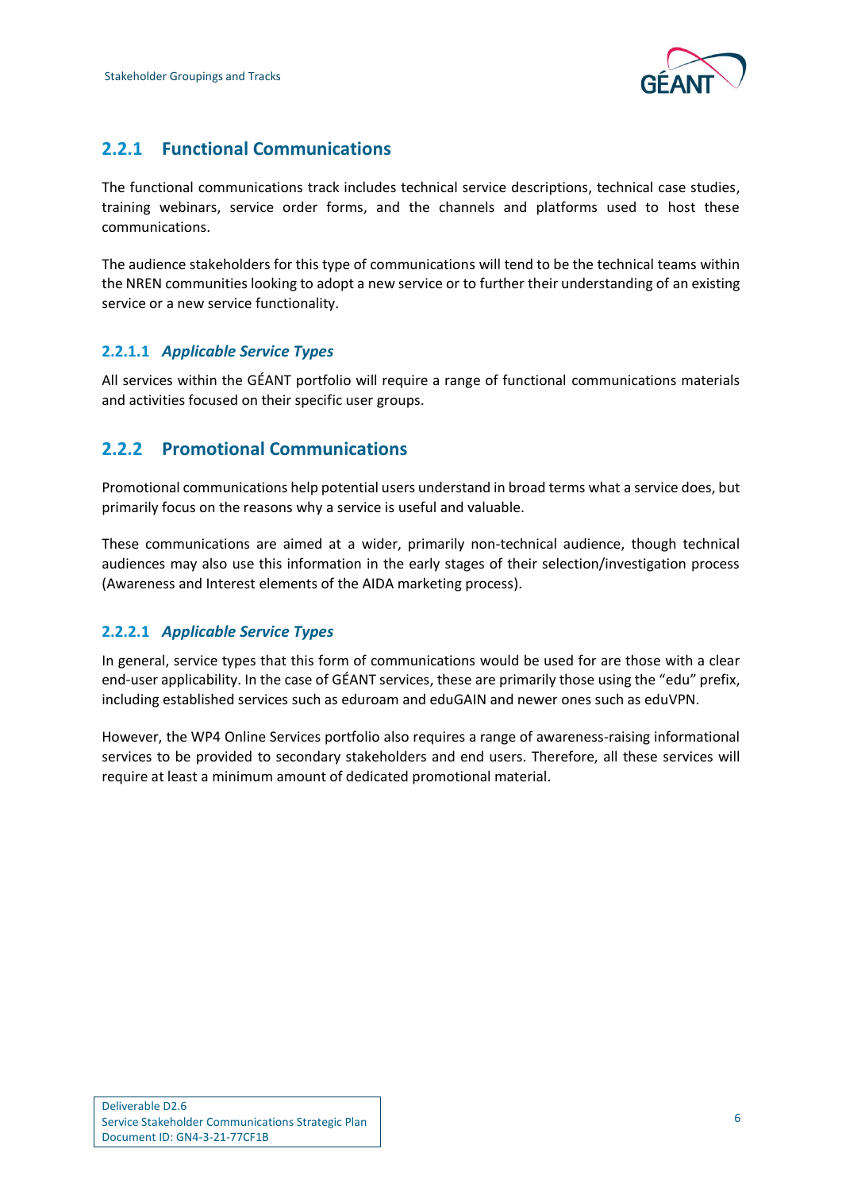

## <span id="page-8-0"></span>**2.2.1 Functional Communications**

The functional communications track includes technical service descriptions, technical case studies, training webinars, service order forms, and the channels and platforms used to host these communications.

The audience stakeholders for this type of communications will tend to be the technical teams within the NREN communities looking to adopt a new service or to further their understanding of an existing service or a new service functionality.

## **2.2.1.1** *Applicable Service Types*

All services within the GÉANT portfolio will require a range of functional communications materials and activities focused on their specific user groups.

## <span id="page-8-1"></span>**2.2.2 Promotional Communications**

Promotional communications help potential users understand in broad terms what a service does, but primarily focus on the reasons why a service is useful and valuable.

These communications are aimed at a wider, primarily non-technical audience, though technical audiences may also use this information in the early stages of their selection/investigation process (Awareness and Interest elements of the AIDA marketing process).

## **2.2.2.1** *Applicable Service Types*

In general, service types that this form of communications would be used for are those with a clear end-user applicability. In the case of GÉANT services, these are primarily those using the "edu" prefix, including established services such as eduroam and eduGAIN and newer ones such as eduVPN.

However, the WP4 Online Services portfolio also requires a range of awareness-raising informational services to be provided to secondary stakeholders and end users. Therefore, all these services will require at least a minimum amount of dedicated promotional material.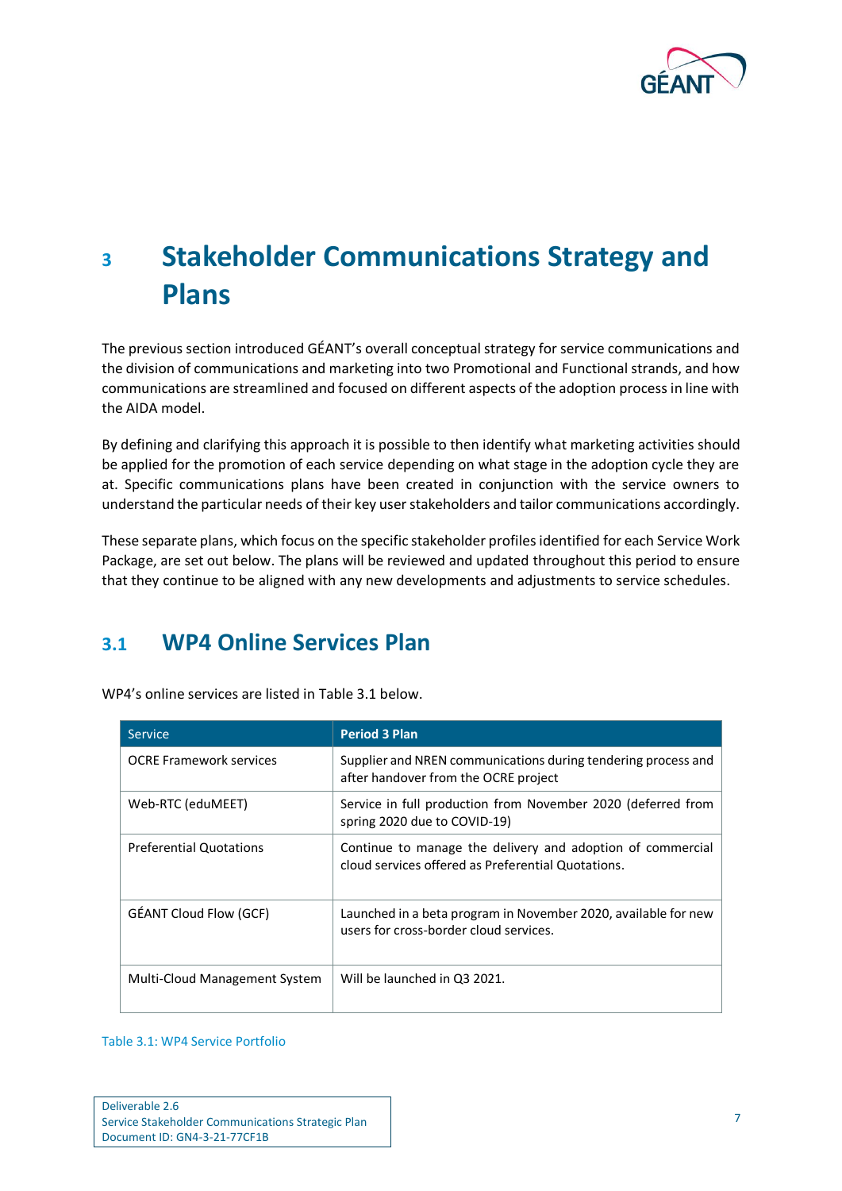

# <span id="page-9-0"></span>**<sup>3</sup> Stakeholder Communications Strategy and Plans**

The previous section introduced GÉANT's overall conceptual strategy for service communications and the division of communications and marketing into two Promotional and Functional strands, and how communications are streamlined and focused on different aspects of the adoption process in line with the AIDA model.

By defining and clarifying this approach it is possible to then identify what marketing activities should be applied for the promotion of each service depending on what stage in the adoption cycle they are at. Specific communications plans have been created in conjunction with the service owners to understand the particular needs of their key user stakeholders and tailor communications accordingly.

These separate plans, which focus on the specific stakeholder profiles identified for each Service Work Package, are set out below. The plans will be reviewed and updated throughout this period to ensure that they continue to be aligned with any new developments and adjustments to service schedules.

## <span id="page-9-1"></span>**3.1 WP4 Online Services Plan**

| <b>Service</b>                 | <b>Period 3 Plan</b>                                                                                             |
|--------------------------------|------------------------------------------------------------------------------------------------------------------|
| <b>OCRE Framework services</b> | Supplier and NREN communications during tendering process and<br>after handover from the OCRE project            |
| Web-RTC (eduMEET)              | Service in full production from November 2020 (deferred from<br>spring 2020 due to COVID-19)                     |
| <b>Preferential Quotations</b> | Continue to manage the delivery and adoption of commercial<br>cloud services offered as Preferential Quotations. |
| <b>GÉANT Cloud Flow (GCF)</b>  | Launched in a beta program in November 2020, available for new<br>users for cross-border cloud services.         |
| Multi-Cloud Management System  | Will be launched in Q3 2021.                                                                                     |

WP4's online services are listed in [Table 3.1](#page-9-2) below.

<span id="page-9-2"></span>Table 3.1: WP4 Service Portfolio

| Deliverable 2.6                                   |
|---------------------------------------------------|
| Service Stakeholder Communications Strategic Plan |
| Document ID: GN4-3-21-77CF1B                      |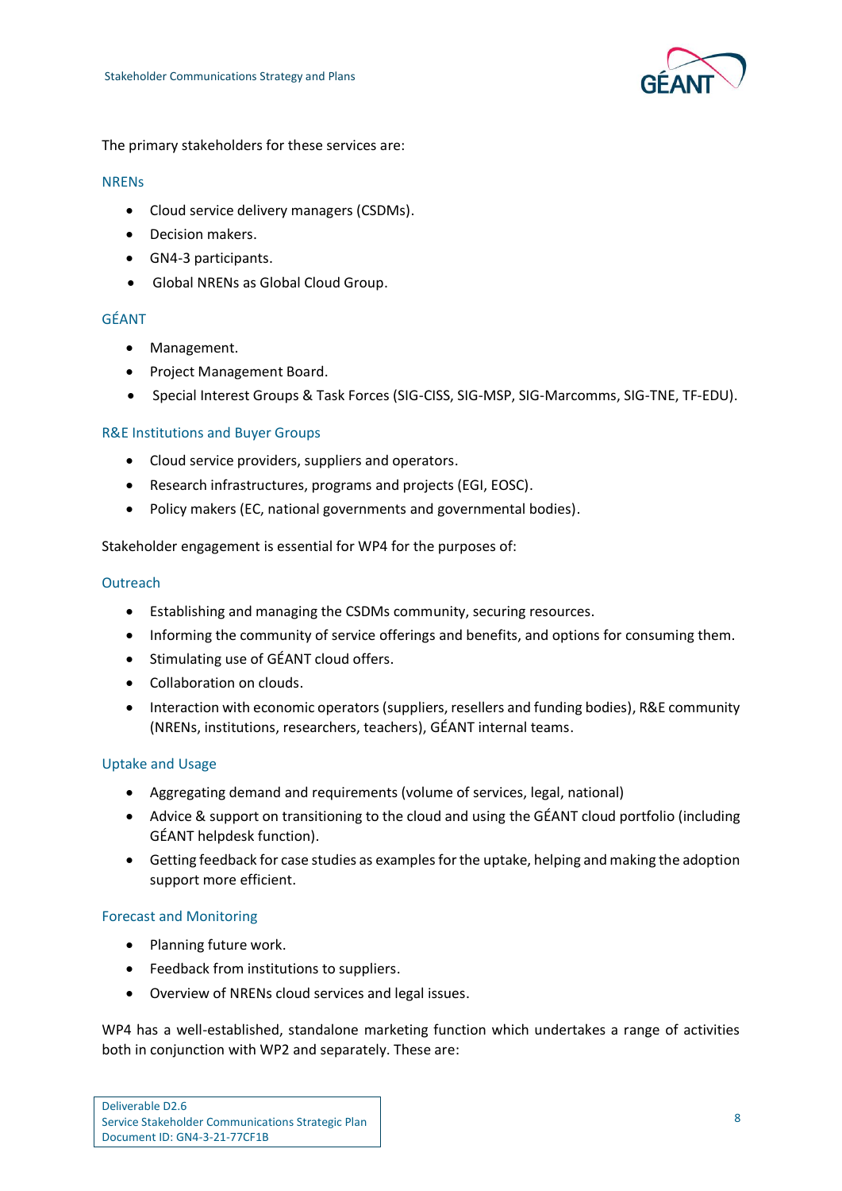

The primary stakeholders for these services are:

#### **NRENs**

- Cloud service delivery managers (CSDMs).
- Decision makers.
- GN4-3 participants.
- Global NRENs as Global Cloud Group.

### GÉANT

- Management.
- Project Management Board.
- Special Interest Groups & Task Forces (SIG-CISS, SIG-MSP, SIG-Marcomms, SIG-TNE, TF-EDU).

## R&E Institutions and Buyer Groups

- Cloud service providers, suppliers and operators.
- Research infrastructures, programs and projects (EGI, EOSC).
- Policy makers (EC, national governments and governmental bodies).

Stakeholder engagement is essential for WP4 for the purposes of:

#### **Outreach**

- Establishing and managing the CSDMs community, securing resources.
- Informing the community of service offerings and benefits, and options for consuming them.
- Stimulating use of GÉANT cloud offers.
- Collaboration on clouds.
- Interaction with economic operators (suppliers, resellers and funding bodies), R&E community (NRENs, institutions, researchers, teachers), GÉANT internal teams.

### Uptake and Usage

- Aggregating demand and requirements (volume of services, legal, national)
- Advice & support on transitioning to the cloud and using the GÉANT cloud portfolio (including GÉANT helpdesk function).
- Getting feedback for case studies as examples for the uptake, helping and making the adoption support more efficient.

### Forecast and Monitoring

- Planning future work.
- Feedback from institutions to suppliers.
- Overview of NRENs cloud services and legal issues.

WP4 has a well-established, standalone marketing function which undertakes a range of activities both in conjunction with WP2 and separately. These are: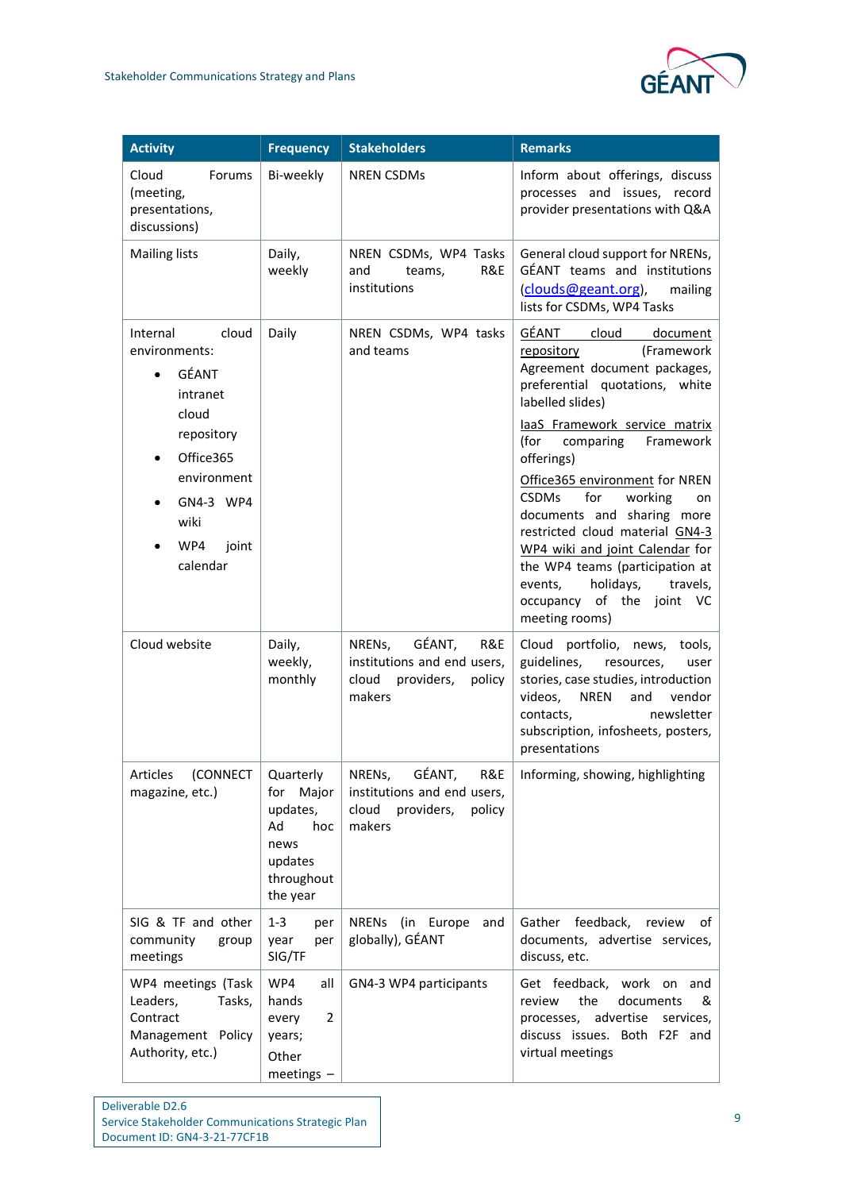

| <b>Activity</b>                                                                                                                                             | <b>Frequency</b>                                                                                | <b>Stakeholders</b>                                                                               | <b>Remarks</b>                                                                                                                                                                                                                                                                                                                                                                                                                                                                                                                    |
|-------------------------------------------------------------------------------------------------------------------------------------------------------------|-------------------------------------------------------------------------------------------------|---------------------------------------------------------------------------------------------------|-----------------------------------------------------------------------------------------------------------------------------------------------------------------------------------------------------------------------------------------------------------------------------------------------------------------------------------------------------------------------------------------------------------------------------------------------------------------------------------------------------------------------------------|
| Cloud<br>Forums<br>(meeting,<br>presentations,<br>discussions)                                                                                              | Bi-weekly                                                                                       | <b>NREN CSDMs</b>                                                                                 | Inform about offerings, discuss<br>processes and issues, record<br>provider presentations with Q&A                                                                                                                                                                                                                                                                                                                                                                                                                                |
| <b>Mailing lists</b>                                                                                                                                        | Daily,<br>weekly                                                                                | NREN CSDMs, WP4 Tasks<br>R&E<br>and<br>teams,<br>institutions                                     | General cloud support for NRENs,<br>GÉANT teams and institutions<br>(clouds@geant.org),<br>mailing<br>lists for CSDMs, WP4 Tasks                                                                                                                                                                                                                                                                                                                                                                                                  |
| cloud<br>Internal<br>environments:<br>GÉANT<br>intranet<br>cloud<br>repository<br>Office365<br>environment<br>GN4-3 WP4<br>wiki<br>WP4<br>joint<br>calendar | Daily                                                                                           | NREN CSDMs, WP4 tasks<br>and teams                                                                | GÉANT<br>cloud<br>document<br>(Framework<br>repository<br>Agreement document packages,<br>preferential quotations, white<br>labelled slides)<br>laaS Framework service matrix<br>(for<br>comparing<br>Framework<br>offerings)<br>Office365 environment for NREN<br><b>CSDMs</b><br>for<br>working<br>on<br>documents and sharing more<br>restricted cloud material GN4-3<br>WP4 wiki and joint Calendar for<br>the WP4 teams (participation at<br>holidays,<br>travels,<br>events,<br>occupancy of the joint VC<br>meeting rooms) |
| Cloud website                                                                                                                                               | Daily,<br>weekly,<br>monthly                                                                    | GÉANT,<br>NRENs,<br>R&E<br>institutions and end users,<br>cloud<br>providers,<br>policy<br>makers | Cloud portfolio, news,<br>tools,<br>guidelines,<br>resources,<br>user<br>stories, case studies, introduction<br>videos,<br><b>NREN</b><br>vendor<br>and<br>newsletter<br>contacts,<br>subscription, infosheets, posters,<br>presentations                                                                                                                                                                                                                                                                                         |
| Articles (CONNECT<br>magazine, etc.)                                                                                                                        | Quarterly<br>Major<br>for<br>updates,<br>Ad<br>hoc<br>news<br>updates<br>throughout<br>the year | GÉANT,<br>R&E<br>NRENs,<br>institutions and end users,<br>cloud<br>providers,<br>policy<br>makers | Informing, showing, highlighting                                                                                                                                                                                                                                                                                                                                                                                                                                                                                                  |
| SIG & TF and other<br>community<br>group<br>meetings                                                                                                        | $1 - 3$<br>per<br>year<br>per<br>SIG/TF                                                         | NRENs (in Europe<br>and<br>globally), GÉANT                                                       | feedback,<br>Gather<br>review<br>of<br>documents, advertise services,<br>discuss, etc.                                                                                                                                                                                                                                                                                                                                                                                                                                            |
| WP4 meetings (Task<br>Leaders,<br>Tasks,<br>Contract<br>Management Policy<br>Authority, etc.)                                                               | WP4<br>all<br>hands<br>2<br>every<br>years;<br>Other<br>meetings -                              | GN4-3 WP4 participants                                                                            | Get feedback, work on and<br>the<br>documents<br>review<br>&<br>processes, advertise<br>services,<br>discuss issues. Both F2F and<br>virtual meetings                                                                                                                                                                                                                                                                                                                                                                             |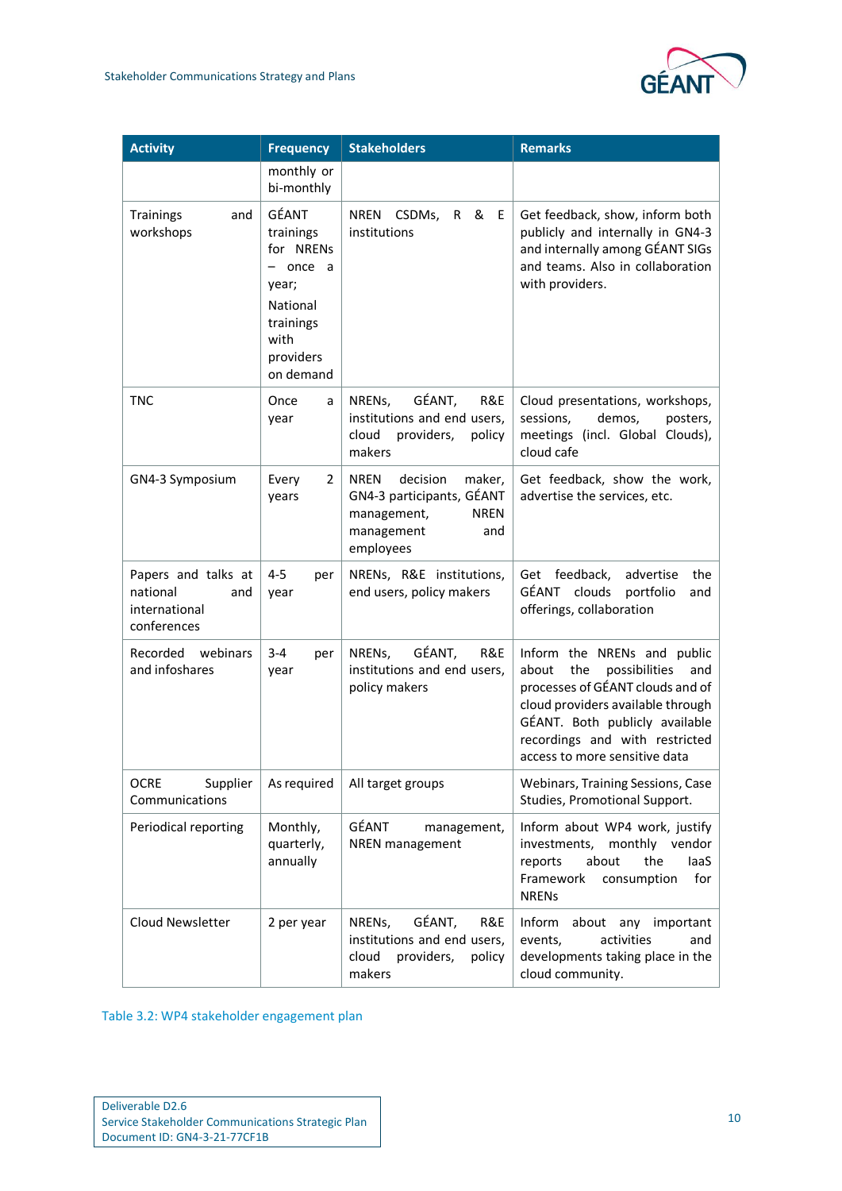

| <b>Activity</b>                                                        | <b>Frequency</b>                                                                                                | <b>Stakeholders</b>                                                                                                            | <b>Remarks</b>                                                                                                                                                                                                                                    |
|------------------------------------------------------------------------|-----------------------------------------------------------------------------------------------------------------|--------------------------------------------------------------------------------------------------------------------------------|---------------------------------------------------------------------------------------------------------------------------------------------------------------------------------------------------------------------------------------------------|
|                                                                        | monthly or<br>bi-monthly                                                                                        |                                                                                                                                |                                                                                                                                                                                                                                                   |
| Trainings<br>and<br>workshops                                          | GÉANT<br>trainings<br>for NRENs<br>- once a<br>year;<br>National<br>trainings<br>with<br>providers<br>on demand | R & E<br>NREN CSDMs,<br>institutions                                                                                           | Get feedback, show, inform both<br>publicly and internally in GN4-3<br>and internally among GÉANT SIGs<br>and teams. Also in collaboration<br>with providers.                                                                                     |
| <b>TNC</b>                                                             | Once<br>a<br>year                                                                                               | GÉANT,<br>R&E<br>NRENs,<br>institutions and end users,<br>cloud<br>providers,<br>policy<br>makers                              | Cloud presentations, workshops,<br>sessions,<br>demos,<br>posters,<br>meetings (incl. Global Clouds),<br>cloud cafe                                                                                                                               |
| GN4-3 Symposium                                                        | Every<br>2<br>years                                                                                             | <b>NREN</b><br>decision<br>maker,<br>GN4-3 participants, GÉANT<br><b>NREN</b><br>management,<br>management<br>and<br>employees | Get feedback, show the work,<br>advertise the services, etc.                                                                                                                                                                                      |
| Papers and talks at<br>national<br>and<br>international<br>conferences | $4 - 5$<br>per<br>year                                                                                          | NRENs, R&E institutions,<br>end users, policy makers                                                                           | Get feedback,<br>advertise<br>the<br>GÉANT clouds<br>portfolio<br>and<br>offerings, collaboration                                                                                                                                                 |
| Recorded webinars<br>and infoshares                                    | $3 - 4$<br>per<br>year                                                                                          | GÉANT,<br>R&E<br>NRENs,<br>institutions and end users,<br>policy makers                                                        | Inform the NRENs and public<br>about<br>the<br>possibilities<br>and<br>processes of GÉANT clouds and of<br>cloud providers available through<br>GÉANT. Both publicly available<br>recordings and with restricted<br>access to more sensitive data |
| <b>OCRE</b><br>Supplier<br>Communications                              | As required                                                                                                     | All target groups                                                                                                              | Webinars, Training Sessions, Case<br>Studies, Promotional Support.                                                                                                                                                                                |
| Periodical reporting                                                   | Monthly,<br>quarterly,<br>annually                                                                              | GÉANT<br>management,<br><b>NREN</b> management                                                                                 | Inform about WP4 work, justify<br>investments,<br>monthly vendor<br>about<br>the<br>laaS<br>reports<br>Framework<br>consumption<br>for<br><b>NRENs</b>                                                                                            |
| Cloud Newsletter                                                       | 2 per year                                                                                                      | GÉANT,<br>R&E<br>NRENs,<br>institutions and end users,<br>cloud<br>providers,<br>policy<br>makers                              | Inform<br>about any important<br>activities<br>events,<br>and<br>developments taking place in the<br>cloud community.                                                                                                                             |

<span id="page-12-0"></span>Table 3.2: WP4 stakeholder engagement plan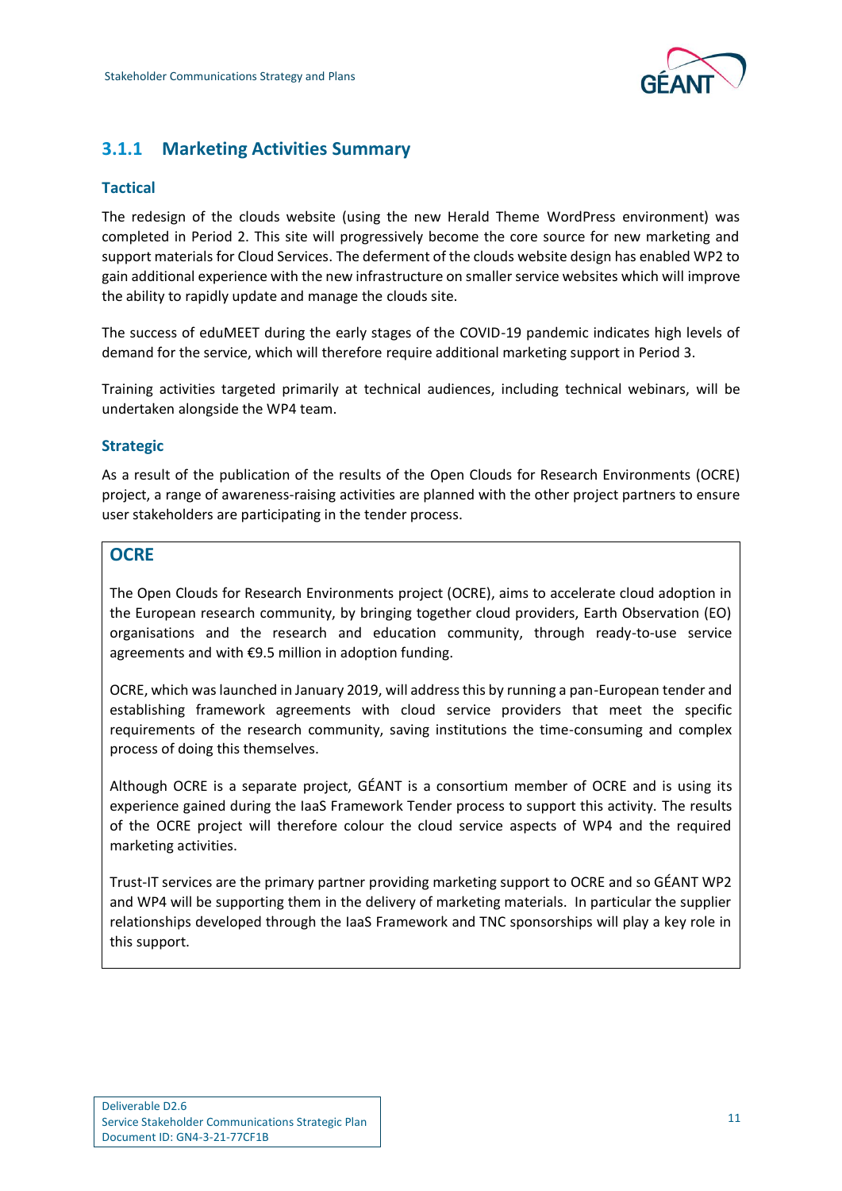

## <span id="page-13-0"></span>**3.1.1 Marketing Activities Summary**

## **Tactical**

The redesign of the clouds website (using the new Herald Theme WordPress environment) was completed in Period 2. This site will progressively become the core source for new marketing and support materials for Cloud Services. The deferment of the clouds website design has enabled WP2 to gain additional experience with the new infrastructure on smaller service websites which will improve the ability to rapidly update and manage the clouds site.

The success of eduMEET during the early stages of the COVID-19 pandemic indicates high levels of demand for the service, which will therefore require additional marketing support in Period 3.

Training activities targeted primarily at technical audiences, including technical webinars, will be undertaken alongside the WP4 team.

## **Strategic**

As a result of the publication of the results of the Open Clouds for Research Environments (OCRE) project, a range of awareness-raising activities are planned with the other project partners to ensure user stakeholders are participating in the tender process.

## **OCRE**

The Open Clouds for Research Environments project (OCRE), aims to accelerate cloud adoption in the European research community, by bringing together cloud providers, Earth Observation (EO) organisations and the research and education community, through ready-to-use service agreements and with €9.5 million in adoption funding.

OCRE, which was launched in January 2019, will address this by running a pan-European tender and establishing framework agreements with cloud service providers that meet the specific requirements of the research community, saving institutions the time-consuming and complex process of doing this themselves.

Although OCRE is a separate project, GÉANT is a consortium member of OCRE and is using its experience gained during the IaaS Framework Tender process to support this activity. The results of the OCRE project will therefore colour the cloud service aspects of WP4 and the required marketing activities.

Trust-IT services are the primary partner providing marketing support to OCRE and so GÉANT WP2 and WP4 will be supporting them in the delivery of marketing materials. In particular the supplier relationships developed through the IaaS Framework and TNC sponsorships will play a key role in this support.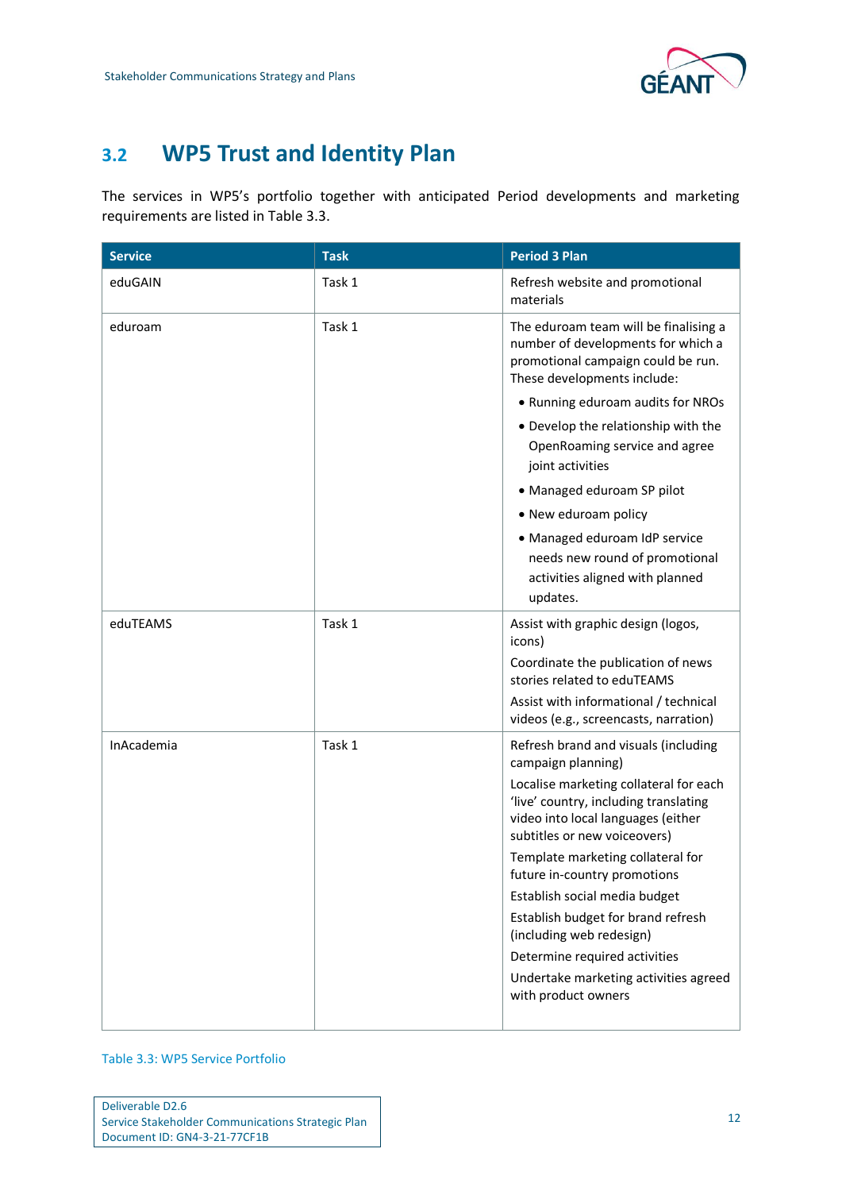

## <span id="page-14-0"></span>**3.2 WP5 Trust and Identity Plan**

The services in WP5's portfolio together with anticipated Period developments and marketing requirements are listed in [Table 3.3.](#page-14-1)

| <b>Service</b> | <b>Task</b> | <b>Period 3 Plan</b>                                                                                                                                  |
|----------------|-------------|-------------------------------------------------------------------------------------------------------------------------------------------------------|
| eduGAIN        | Task 1      | Refresh website and promotional<br>materials                                                                                                          |
| eduroam        | Task 1      | The eduroam team will be finalising a<br>number of developments for which a<br>promotional campaign could be run.<br>These developments include:      |
|                |             | • Running eduroam audits for NROs                                                                                                                     |
|                |             | • Develop the relationship with the<br>OpenRoaming service and agree<br>joint activities                                                              |
|                |             | • Managed eduroam SP pilot                                                                                                                            |
|                |             | • New eduroam policy                                                                                                                                  |
|                |             | · Managed eduroam IdP service<br>needs new round of promotional<br>activities aligned with planned<br>updates.                                        |
| eduTEAMS       | Task 1      | Assist with graphic design (logos,<br>icons)                                                                                                          |
|                |             | Coordinate the publication of news<br>stories related to eduTEAMS                                                                                     |
|                |             | Assist with informational / technical<br>videos (e.g., screencasts, narration)                                                                        |
| InAcademia     | Task 1      | Refresh brand and visuals (including<br>campaign planning)                                                                                            |
|                |             | Localise marketing collateral for each<br>'live' country, including translating<br>video into local languages (either<br>subtitles or new voiceovers) |
|                |             | Template marketing collateral for<br>future in-country promotions                                                                                     |
|                |             | Establish social media budget                                                                                                                         |
|                |             | Establish budget for brand refresh<br>(including web redesign)                                                                                        |
|                |             | Determine required activities                                                                                                                         |
|                |             | Undertake marketing activities agreed<br>with product owners                                                                                          |
|                |             |                                                                                                                                                       |

<span id="page-14-1"></span>Table 3.3: WP5 Service Portfolio

| Deliverable D2.6                                  |
|---------------------------------------------------|
| Service Stakeholder Communications Strategic Plan |
| Document ID: GN4-3-21-77CF1B                      |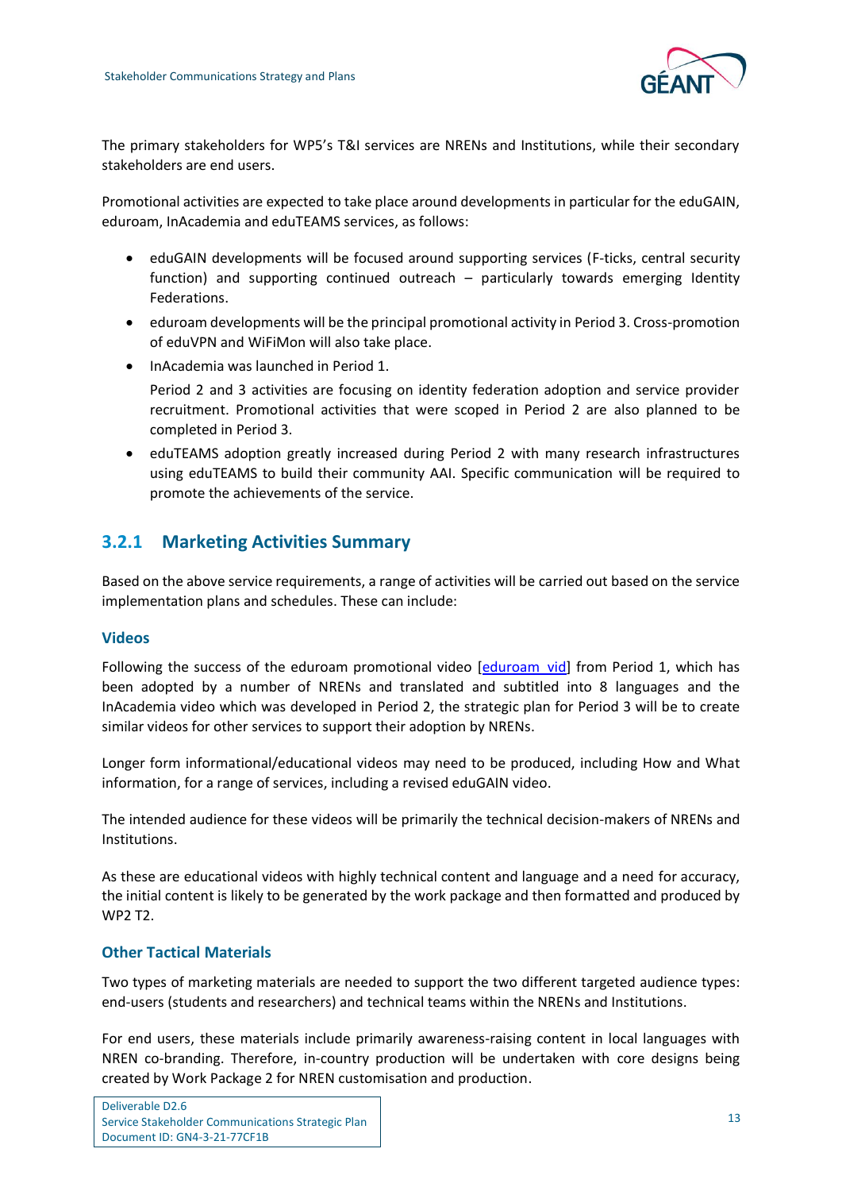

The primary stakeholders for WP5's T&I services are NRENs and Institutions, while their secondary stakeholders are end users.

Promotional activities are expected to take place around developments in particular for the eduGAIN, eduroam, InAcademia and eduTEAMS services, as follows:

- eduGAIN developments will be focused around supporting services (F-ticks, central security function) and supporting continued outreach – particularly towards emerging Identity Federations.
- eduroam developments will be the principal promotional activity in Period 3. Cross-promotion of eduVPN and WiFiMon will also take place.
- InAcademia was launched in Period 1.
	- Period 2 and 3 activities are focusing on identity federation adoption and service provider recruitment. Promotional activities that were scoped in Period 2 are also planned to be completed in Period 3.
- eduTEAMS adoption greatly increased during Period 2 with many research infrastructures using eduTEAMS to build their community AAI. Specific communication will be required to promote the achievements of the service.

## <span id="page-15-0"></span>**3.2.1 Marketing Activities Summary**

Based on the above service requirements, a range of activities will be carried out based on the service implementation plans and schedules. These can include:

### **Videos**

Following the success of the eduroam promotional video [\[eduroam\\_vid\]](#page-23-3) from Period 1, which has been adopted by a number of NRENs and translated and subtitled into 8 languages and the InAcademia video which was developed in Period 2, the strategic plan for Period 3 will be to create similar videos for other services to support their adoption by NRENs.

Longer form informational/educational videos may need to be produced, including How and What information, for a range of services, including a revised eduGAIN video.

The intended audience for these videos will be primarily the technical decision-makers of NRENs and Institutions.

As these are educational videos with highly technical content and language and a need for accuracy, the initial content is likely to be generated by the work package and then formatted and produced by WP2 T2.

## **Other Tactical Materials**

Two types of marketing materials are needed to support the two different targeted audience types: end-users (students and researchers) and technical teams within the NRENs and Institutions.

For end users, these materials include primarily awareness-raising content in local languages with NREN co-branding. Therefore, in-country production will be undertaken with core designs being created by Work Package 2 for NREN customisation and production.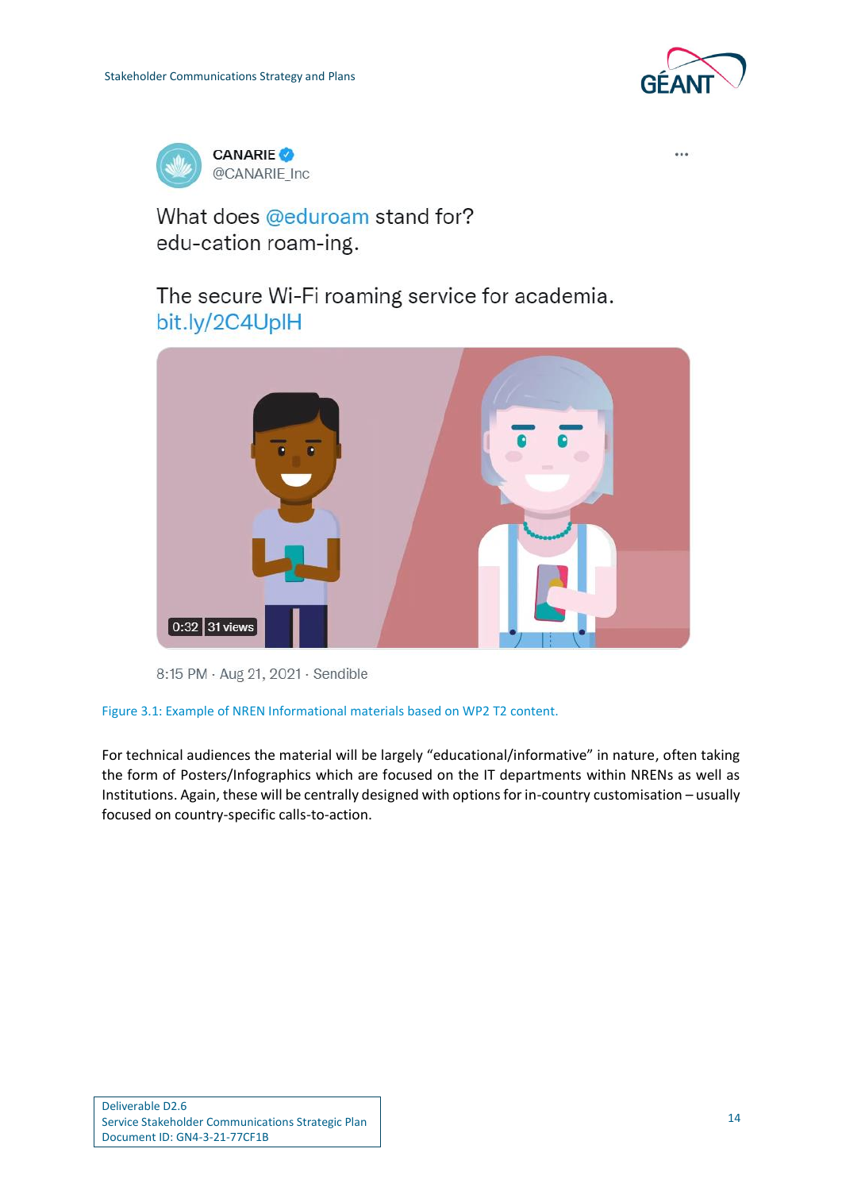



 $\overline{a}$ 

## What does @eduroam stand for? edu-cation roam-ing.

The secure Wi-Fi roaming service for academia. bit.ly/2C4UplH





### <span id="page-16-0"></span>Figure 3.1: Example of NREN Informational materials based on WP2 T2 content.

For technical audiences the material will be largely "educational/informative" in nature, often taking the form of Posters/Infographics which are focused on the IT departments within NRENs as well as Institutions. Again, these will be centrally designed with options for in-country customisation – usually focused on country-specific calls-to-action.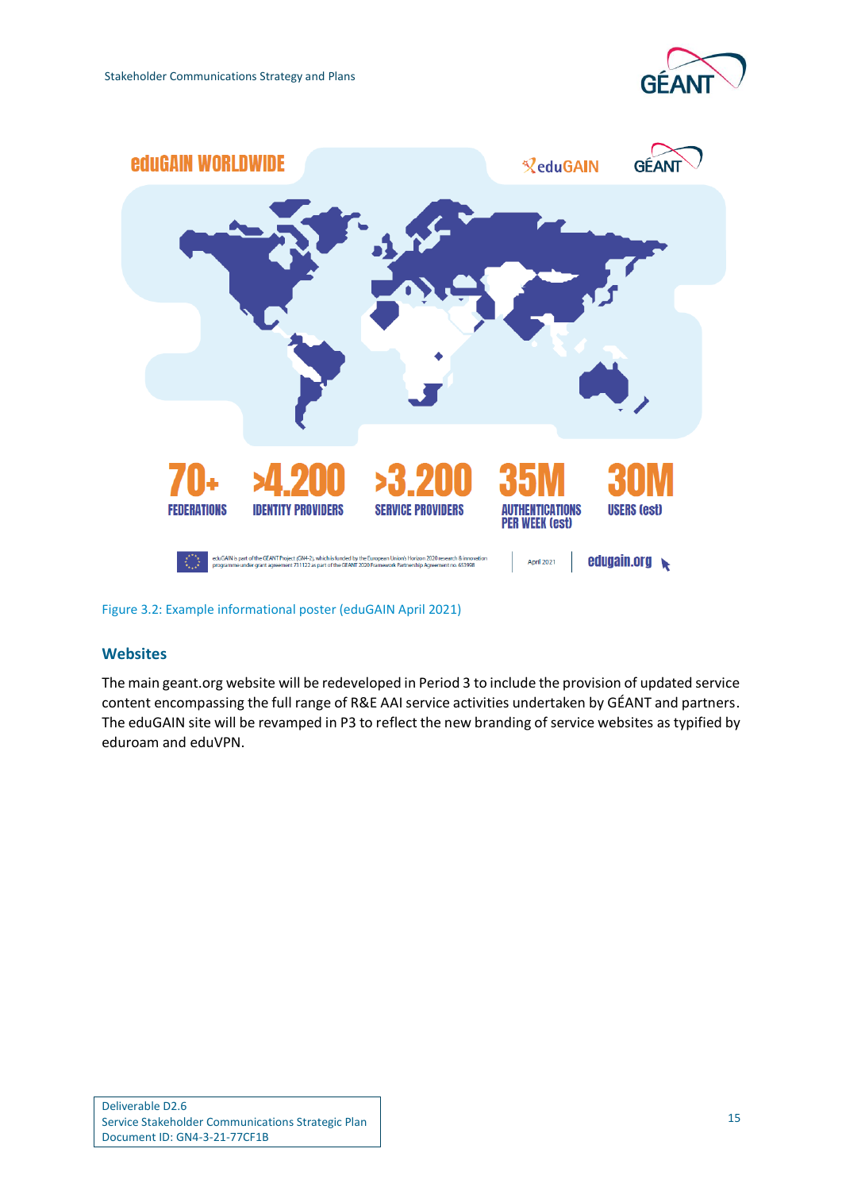



<span id="page-17-0"></span>Figure 3.2: Example informational poster (eduGAIN April 2021)

## **Websites**

The main geant.org website will be redeveloped in Period 3 to include the provision of updated service content encompassing the full range of R&E AAI service activities undertaken by GÉANT and partners. The eduGAIN site will be revamped in P3 to reflect the new branding of service websites as typified by eduroam and eduVPN.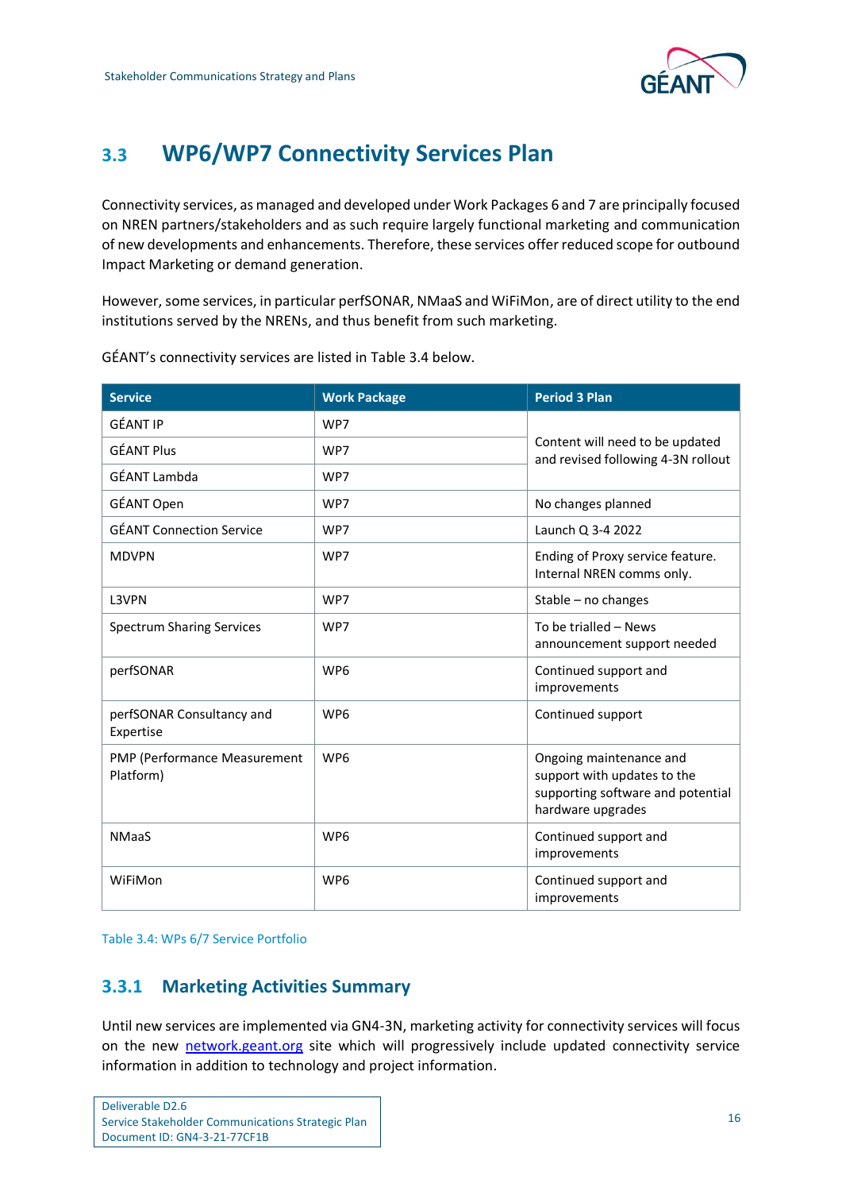

## <span id="page-18-0"></span>**3.3 WP6/WP7 Connectivity Services Plan**

Connectivity services, as managed and developed under Work Packages 6 and 7 are principally focused on NREN partners/stakeholders and as such require largely functional marketing and communication of new developments and enhancements. Therefore, these services offer reduced scope for outbound Impact Marketing or demand generation.

However, some services, in particular perfSONAR, NMaaS and WiFiMon, are of direct utility to the end institutions served by the NRENs, and thus benefit from such marketing.

| <b>Service</b>                            | <b>Work Package</b> | <b>Period 3 Plan</b>                                                                                             |  |
|-------------------------------------------|---------------------|------------------------------------------------------------------------------------------------------------------|--|
| <b>GÉANT IP</b>                           | WP7                 |                                                                                                                  |  |
| <b>GÉANT Plus</b>                         | WP7                 | Content will need to be updated<br>and revised following 4-3N rollout                                            |  |
| GÉANT Lambda                              | WP7                 |                                                                                                                  |  |
| GÉANT Open                                | WP7                 | No changes planned                                                                                               |  |
| <b>GÉANT Connection Service</b>           | WP7                 | Launch Q 3-4 2022                                                                                                |  |
| <b>MDVPN</b>                              | WP7                 | Ending of Proxy service feature.<br>Internal NREN comms only.                                                    |  |
| L3VPN                                     | WP7                 | Stable - no changes                                                                                              |  |
| <b>Spectrum Sharing Services</b>          | WP7                 | To be trialled - News<br>announcement support needed                                                             |  |
| perfSONAR                                 | WP <sub>6</sub>     | Continued support and<br>improvements                                                                            |  |
| perfSONAR Consultancy and<br>Expertise    | WP <sub>6</sub>     | Continued support                                                                                                |  |
| PMP (Performance Measurement<br>Platform) | WP <sub>6</sub>     | Ongoing maintenance and<br>support with updates to the<br>supporting software and potential<br>hardware upgrades |  |
| <b>NMaaS</b>                              | WP <sub>6</sub>     | Continued support and<br>improvements                                                                            |  |
| WiFiMon                                   | WP <sub>6</sub>     | Continued support and<br>improvements                                                                            |  |

GÉANT's connectivity services are listed in [Table 3.4](#page-18-2) below.

<span id="page-18-2"></span>Table 3.4: WPs 6/7 Service Portfolio

## <span id="page-18-1"></span>**3.3.1 Marketing Activities Summary**

Until new services are implemented via GN4-3N, marketing activity for connectivity services will focus on the new [network.geant.org](file:///C:/Users/karl/AppData/Local/Microsoft/Windows/INetCache/Content.Outlook/DU0MANQJ/network.geant.org) site which will progressively include updated connectivity service information in addition to technology and project information.

| Deliverable D2.6                                  |
|---------------------------------------------------|
| Service Stakeholder Communications Strategic Plan |
| Document ID: GN4-3-21-77CF1B                      |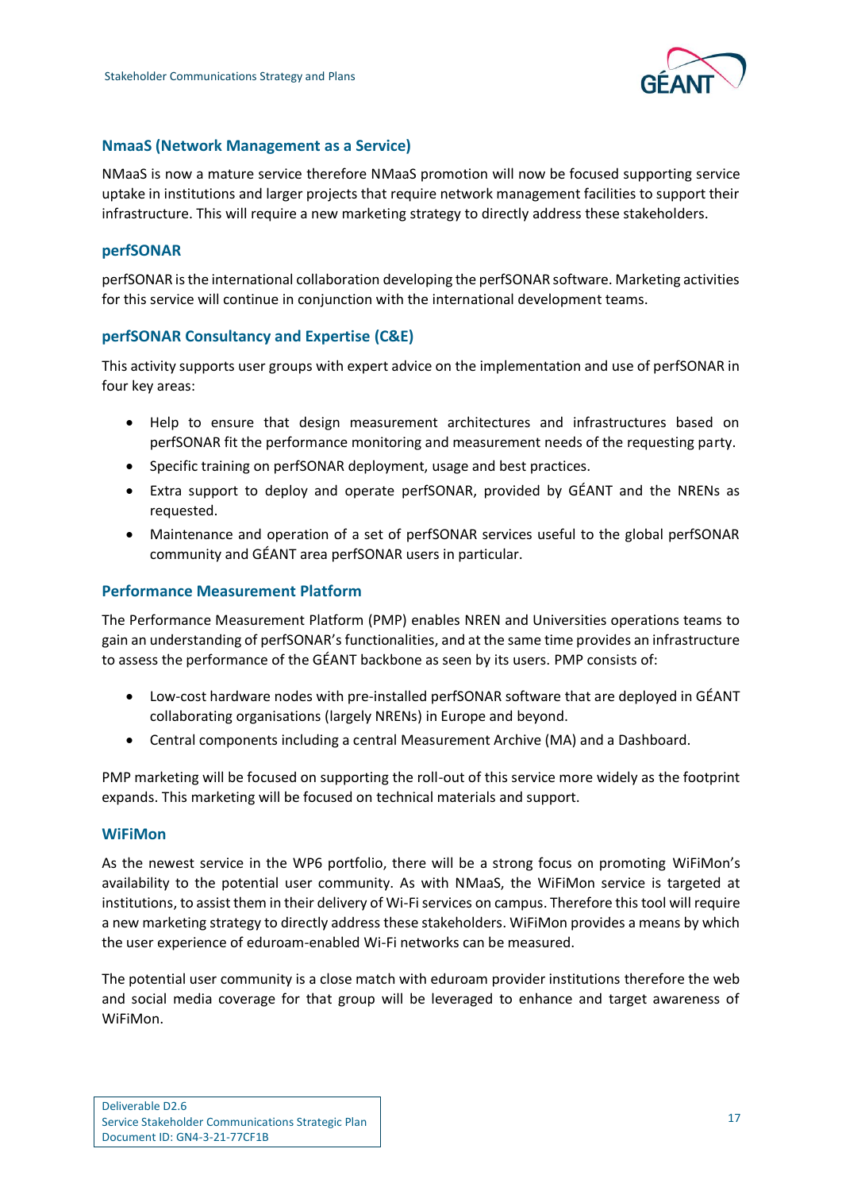

### **NmaaS (Network Management as a Service)**

NMaaS is now a mature service therefore NMaaS promotion will now be focused supporting service uptake in institutions and larger projects that require network management facilities to support their infrastructure. This will require a new marketing strategy to directly address these stakeholders.

### **perfSONAR**

perfSONAR is the international collaboration developing the perfSONAR software. Marketing activities for this service will continue in conjunction with the international development teams.

## **perfSONAR Consultancy and Expertise (C&E)**

This activity supports user groups with expert advice on the implementation and use of perfSONAR in four key areas:

- Help to ensure that design measurement architectures and infrastructures based on perfSONAR fit the performance monitoring and measurement needs of the requesting party.
- Specific training on perfSONAR deployment, usage and best practices.
- Extra support to deploy and operate perfSONAR, provided by GÉANT and the NRENs as requested.
- Maintenance and operation of a set of perfSONAR services useful to the global perfSONAR community and GÉANT area perfSONAR users in particular.

#### **Performance Measurement Platform**

The Performance Measurement Platform (PMP) enables NREN and Universities operations teams to gain an understanding of perfSONAR's functionalities, and at the same time provides an infrastructure to assess the performance of the GÉANT backbone as seen by its users. PMP consists of:

- Low-cost hardware nodes with pre-installed perfSONAR software that are deployed in GÉANT collaborating organisations (largely NRENs) in Europe and beyond.
- Central components including a central Measurement Archive (MA) and a Dashboard.

PMP marketing will be focused on supporting the roll-out of this service more widely as the footprint expands. This marketing will be focused on technical materials and support.

#### **WiFiMon**

As the newest service in the WP6 portfolio, there will be a strong focus on promoting WiFiMon's availability to the potential user community. As with NMaaS, the WiFiMon service is targeted at institutions, to assist them in their delivery of Wi-Fi services on campus. Therefore this tool will require a new marketing strategy to directly address these stakeholders. WiFiMon provides a means by which the user experience of eduroam-enabled Wi-Fi networks can be measured.

The potential user community is a close match with eduroam provider institutions therefore the web and social media coverage for that group will be leveraged to enhance and target awareness of WiFiMon.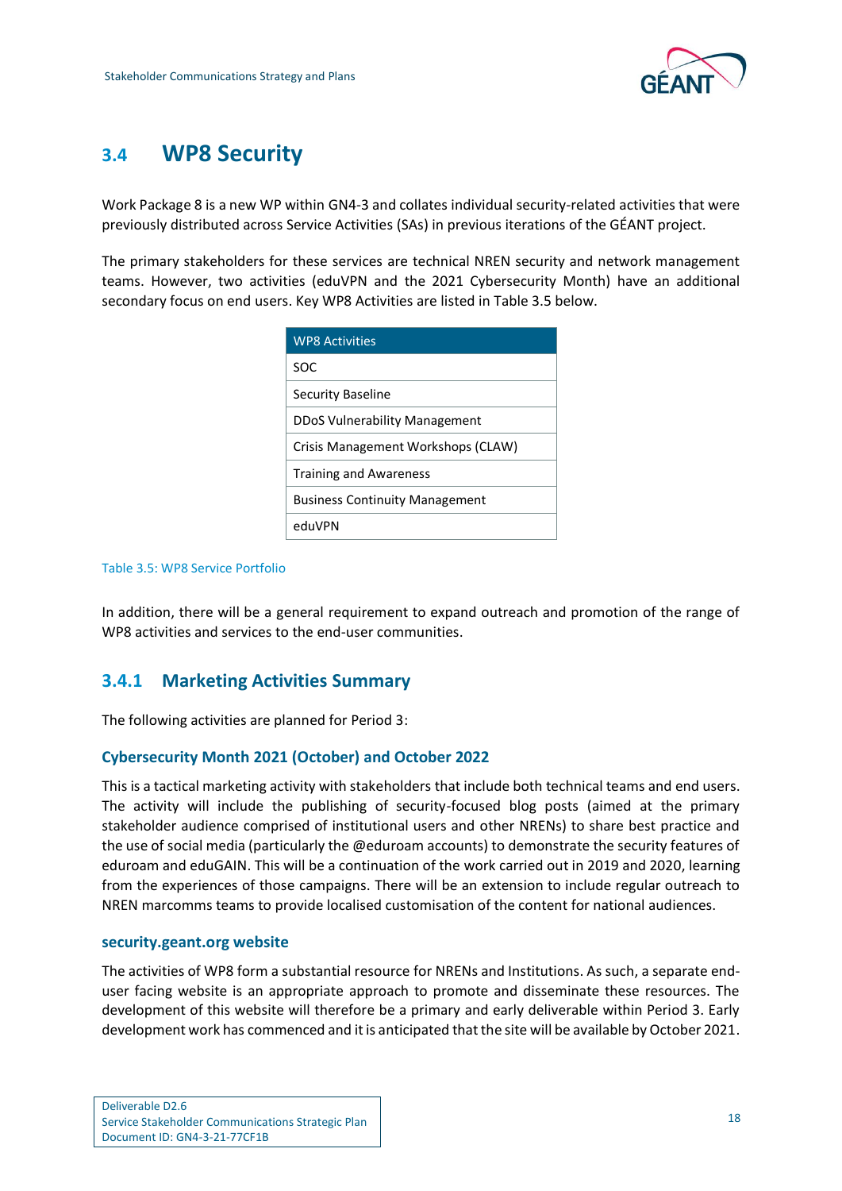

## <span id="page-20-0"></span>**3.4 WP8 Security**

Work Package 8 is a new WP within GN4-3 and collates individual security-related activities that were previously distributed across Service Activities (SAs) in previous iterations of the GÉANT project.

The primary stakeholders for these services are technical NREN security and network management teams. However, two activities (eduVPN and the 2021 Cybersecurity Month) have an additional secondary focus on end users. Key WP8 Activities are listed in [Table 3.5](#page-20-2) below.

| <b>WP8 Activities</b>                 |
|---------------------------------------|
| SOC                                   |
| Security Baseline                     |
| DDoS Vulnerability Management         |
| Crisis Management Workshops (CLAW)    |
| <b>Training and Awareness</b>         |
| <b>Business Continuity Management</b> |
| eduVPN                                |

#### <span id="page-20-2"></span>Table 3.5: WP8 Service Portfolio

In addition, there will be a general requirement to expand outreach and promotion of the range of WP8 activities and services to the end-user communities.

## <span id="page-20-1"></span>**3.4.1 Marketing Activities Summary**

The following activities are planned for Period 3:

### **Cybersecurity Month 2021 (October) and October 2022**

This is a tactical marketing activity with stakeholders that include both technical teams and end users. The activity will include the publishing of security-focused blog posts (aimed at the primary stakeholder audience comprised of institutional users and other NRENs) to share best practice and the use of social media (particularly the @eduroam accounts) to demonstrate the security features of eduroam and eduGAIN. This will be a continuation of the work carried out in 2019 and 2020, learning from the experiences of those campaigns. There will be an extension to include regular outreach to NREN marcomms teams to provide localised customisation of the content for national audiences.

### **security.geant.org website**

The activities of WP8 form a substantial resource for NRENs and Institutions. As such, a separate enduser facing website is an appropriate approach to promote and disseminate these resources. The development of this website will therefore be a primary and early deliverable within Period 3. Early development work has commenced and it is anticipated that the site will be available by October 2021.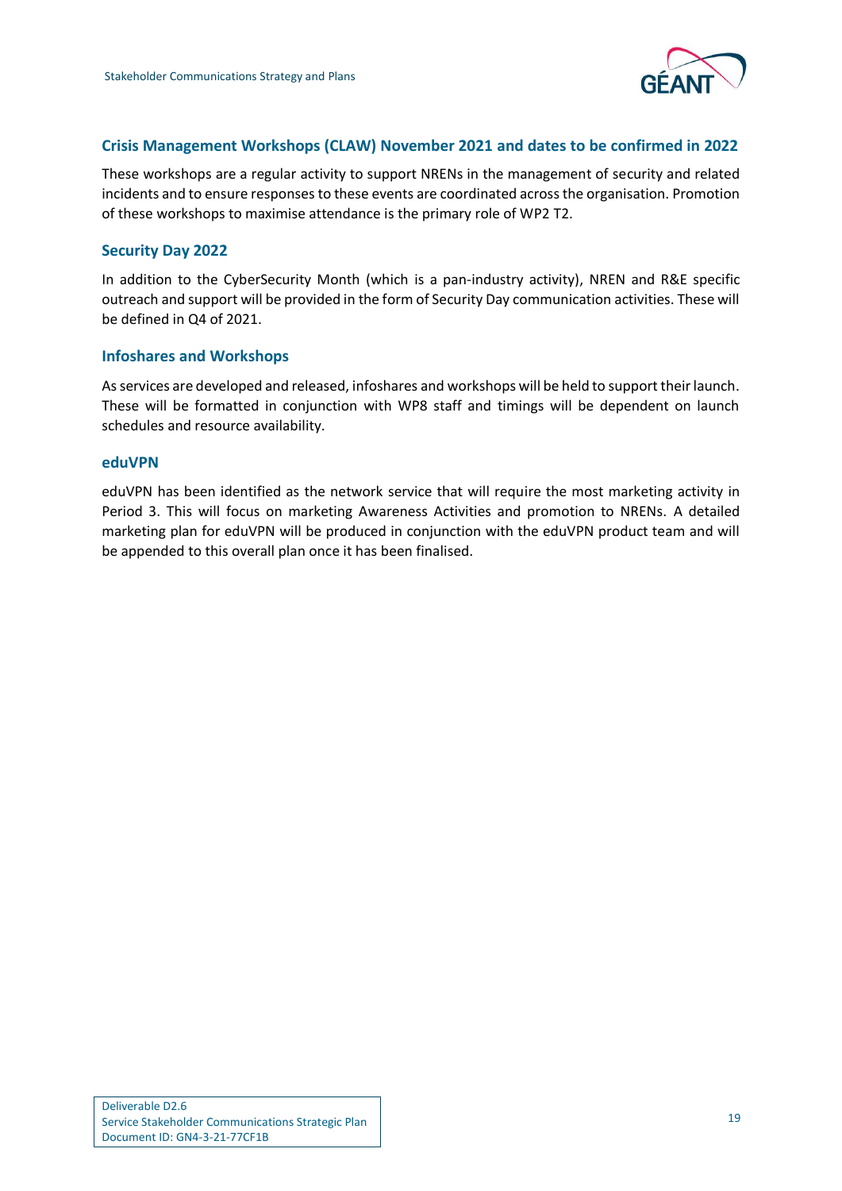

## **Crisis Management Workshops (CLAW) November 2021 and dates to be confirmed in 2022**

These workshops are a regular activity to support NRENs in the management of security and related incidents and to ensure responses to these events are coordinated across the organisation. Promotion of these workshops to maximise attendance is the primary role of WP2 T2.

### **Security Day 2022**

In addition to the CyberSecurity Month (which is a pan-industry activity), NREN and R&E specific outreach and support will be provided in the form of Security Day communication activities. These will be defined in Q4 of 2021.

### **Infoshares and Workshops**

As services are developed and released, infoshares and workshops will be held to support their launch. These will be formatted in conjunction with WP8 staff and timings will be dependent on launch schedules and resource availability.

#### **eduVPN**

eduVPN has been identified as the network service that will require the most marketing activity in Period 3. This will focus on marketing Awareness Activities and promotion to NRENs. A detailed marketing plan for eduVPN will be produced in conjunction with the eduVPN product team and will be appended to this overall plan once it has been finalised.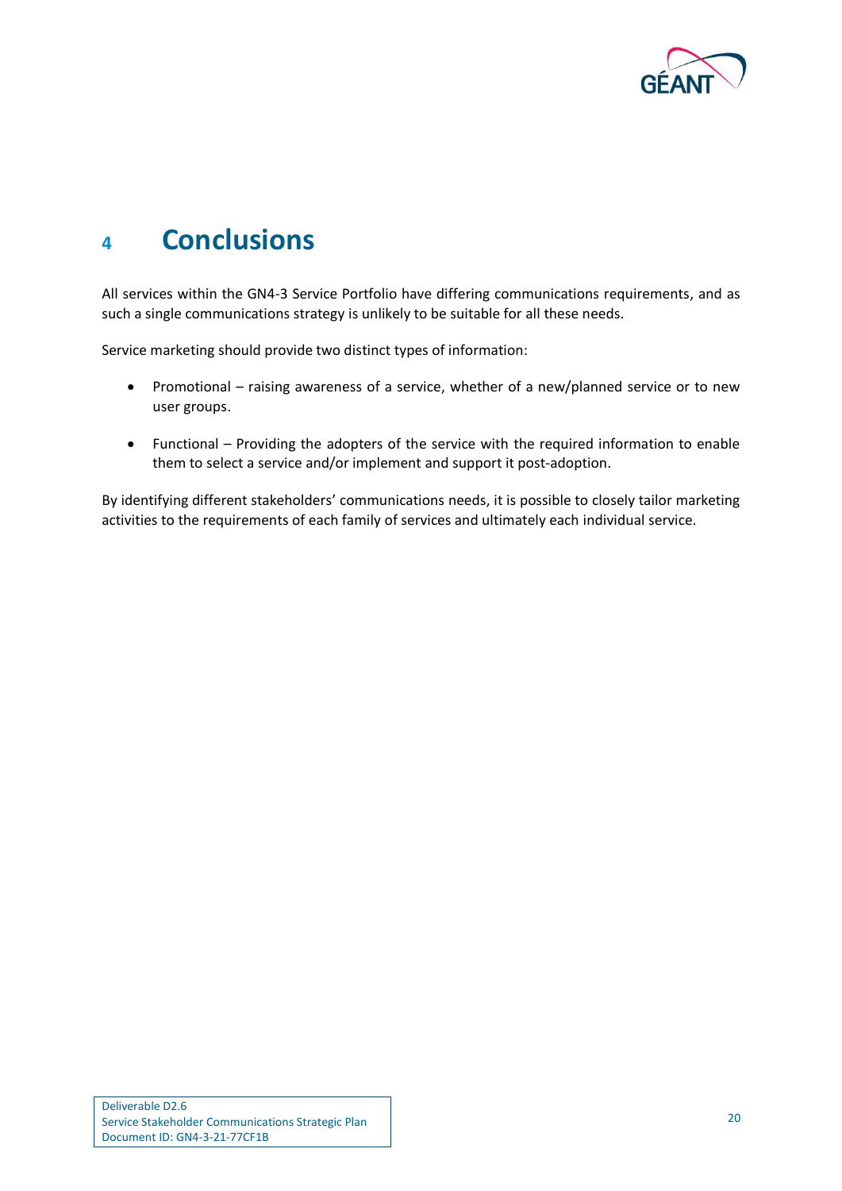

# <span id="page-22-0"></span>**<sup>4</sup> Conclusions**

All services within the GN4-3 Service Portfolio have differing communications requirements, and as such a single communications strategy is unlikely to be suitable for all these needs.

Service marketing should provide two distinct types of information:

- Promotional raising awareness of a service, whether of a new/planned service or to new user groups.
- Functional Providing the adopters of the service with the required information to enable them to select a service and/or implement and support it post-adoption.

By identifying different stakeholders' communications needs, it is possible to closely tailor marketing activities to the requirements of each family of services and ultimately each individual service.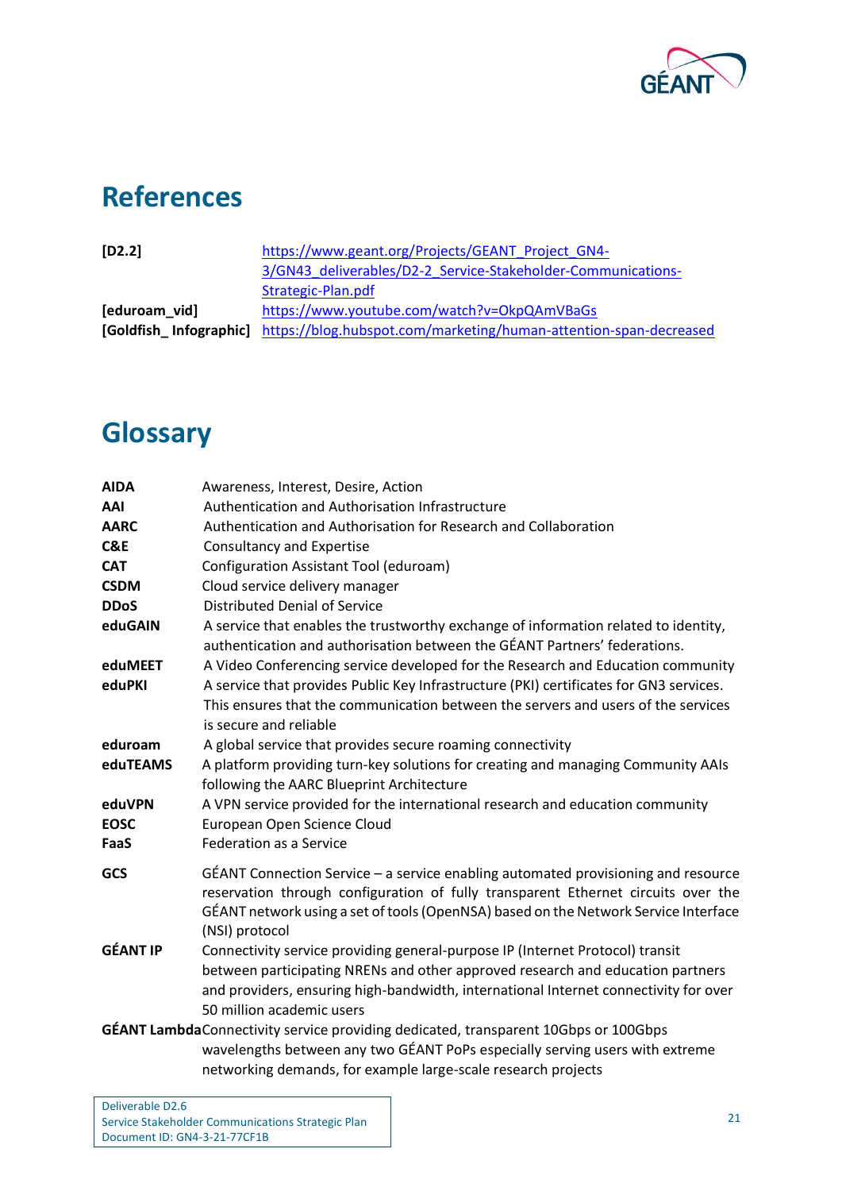

# <span id="page-23-0"></span>**References**

<span id="page-23-3"></span><span id="page-23-2"></span>

| $[D2.2]$      | https://www.geant.org/Projects/GEANT Project GN4-                                        |
|---------------|------------------------------------------------------------------------------------------|
|               | 3/GN43 deliverables/D2-2 Service-Stakeholder-Communications-                             |
|               | Strategic-Plan.pdf                                                                       |
| [eduroam_vid] | https://www.youtube.com/watch?v=OkpQAmVBaGs                                              |
|               | [Goldfish_Infographic] https://blog.hubspot.com/marketing/human-attention-span-decreased |
|               |                                                                                          |

# <span id="page-23-1"></span>**Glossary**

| <b>AIDA</b>                                                                         | Awareness, Interest, Desire, Action                                                                                                                                                                                                                                             |  |
|-------------------------------------------------------------------------------------|---------------------------------------------------------------------------------------------------------------------------------------------------------------------------------------------------------------------------------------------------------------------------------|--|
| AAI                                                                                 | Authentication and Authorisation Infrastructure                                                                                                                                                                                                                                 |  |
| <b>AARC</b>                                                                         | Authentication and Authorisation for Research and Collaboration                                                                                                                                                                                                                 |  |
| <b>C&amp;E</b>                                                                      | <b>Consultancy and Expertise</b>                                                                                                                                                                                                                                                |  |
| <b>CAT</b>                                                                          | Configuration Assistant Tool (eduroam)                                                                                                                                                                                                                                          |  |
| <b>CSDM</b>                                                                         | Cloud service delivery manager                                                                                                                                                                                                                                                  |  |
| <b>DDoS</b>                                                                         | <b>Distributed Denial of Service</b>                                                                                                                                                                                                                                            |  |
| eduGAIN                                                                             | A service that enables the trustworthy exchange of information related to identity,<br>authentication and authorisation between the GÉANT Partners' federations.                                                                                                                |  |
| eduMEET                                                                             | A Video Conferencing service developed for the Research and Education community                                                                                                                                                                                                 |  |
| eduPKI                                                                              | A service that provides Public Key Infrastructure (PKI) certificates for GN3 services.<br>This ensures that the communication between the servers and users of the services<br>is secure and reliable                                                                           |  |
| eduroam                                                                             | A global service that provides secure roaming connectivity                                                                                                                                                                                                                      |  |
| eduTEAMS                                                                            | A platform providing turn-key solutions for creating and managing Community AAIs<br>following the AARC Blueprint Architecture                                                                                                                                                   |  |
| eduVPN                                                                              | A VPN service provided for the international research and education community                                                                                                                                                                                                   |  |
| <b>EOSC</b>                                                                         | European Open Science Cloud                                                                                                                                                                                                                                                     |  |
| FaaS                                                                                | <b>Federation as a Service</b>                                                                                                                                                                                                                                                  |  |
| GCS                                                                                 | GÉANT Connection Service – a service enabling automated provisioning and resource<br>reservation through configuration of fully transparent Ethernet circuits over the<br>GÉANT network using a set of tools (OpenNSA) based on the Network Service Interface<br>(NSI) protocol |  |
| <b>GÉANT IP</b>                                                                     | Connectivity service providing general-purpose IP (Internet Protocol) transit                                                                                                                                                                                                   |  |
|                                                                                     | between participating NRENs and other approved research and education partners                                                                                                                                                                                                  |  |
|                                                                                     | and providers, ensuring high-bandwidth, international Internet connectivity for over                                                                                                                                                                                            |  |
|                                                                                     | 50 million academic users                                                                                                                                                                                                                                                       |  |
| GÉANT LambdaConnectivity service providing dedicated, transparent 10Gbps or 100Gbps |                                                                                                                                                                                                                                                                                 |  |
|                                                                                     | wavelengths between any two GÉANT PoPs especially serving users with extreme                                                                                                                                                                                                    |  |
|                                                                                     | networking demands, for example large-scale research projects                                                                                                                                                                                                                   |  |